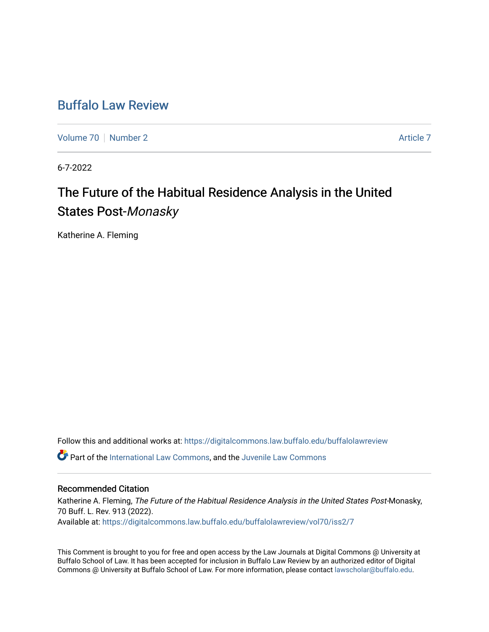## [Buffalo Law Review](https://digitalcommons.law.buffalo.edu/buffalolawreview)

[Volume 70](https://digitalcommons.law.buffalo.edu/buffalolawreview/vol70) [Number 2](https://digitalcommons.law.buffalo.edu/buffalolawreview/vol70/iss2) Article 7

6-7-2022

# The Future of the Habitual Residence Analysis in the United States Post-Monasky

Katherine A. Fleming

Follow this and additional works at: [https://digitalcommons.law.buffalo.edu/buffalolawreview](https://digitalcommons.law.buffalo.edu/buffalolawreview?utm_source=digitalcommons.law.buffalo.edu%2Fbuffalolawreview%2Fvol70%2Fiss2%2F7&utm_medium=PDF&utm_campaign=PDFCoverPages) 

Part of the [International Law Commons,](https://network.bepress.com/hgg/discipline/609?utm_source=digitalcommons.law.buffalo.edu%2Fbuffalolawreview%2Fvol70%2Fiss2%2F7&utm_medium=PDF&utm_campaign=PDFCoverPages) and the [Juvenile Law Commons](https://network.bepress.com/hgg/discipline/851?utm_source=digitalcommons.law.buffalo.edu%2Fbuffalolawreview%2Fvol70%2Fiss2%2F7&utm_medium=PDF&utm_campaign=PDFCoverPages) 

#### Recommended Citation

Katherine A. Fleming, The Future of the Habitual Residence Analysis in the United States Post-Monasky, 70 Buff. L. Rev. 913 (2022). Available at: [https://digitalcommons.law.buffalo.edu/buffalolawreview/vol70/iss2/7](https://digitalcommons.law.buffalo.edu/buffalolawreview/vol70/iss2/7?utm_source=digitalcommons.law.buffalo.edu%2Fbuffalolawreview%2Fvol70%2Fiss2%2F7&utm_medium=PDF&utm_campaign=PDFCoverPages) 

This Comment is brought to you for free and open access by the Law Journals at Digital Commons @ University at Buffalo School of Law. It has been accepted for inclusion in Buffalo Law Review by an authorized editor of Digital Commons @ University at Buffalo School of Law. For more information, please contact [lawscholar@buffalo.edu](mailto:lawscholar@buffalo.edu).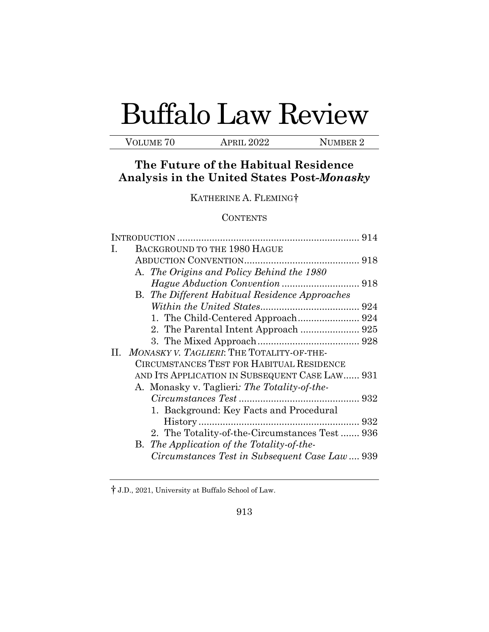# Buffalo Law Review

VOLUME 70 APRIL 2022 NUMBER 2

### **The Future of the Habitual Residence Analysis in the United States Post-***Monasky*

KATHERINE A. FLEMING[†](#page-1-0) 

#### **CONTENTS**

| 914                                                   |
|-------------------------------------------------------|
| BACKGROUND TO THE 1980 HAGUE<br>Ι.                    |
|                                                       |
| A. The Origins and Policy Behind the 1980             |
|                                                       |
| <b>B.</b> The Different Habitual Residence Approaches |
|                                                       |
|                                                       |
|                                                       |
|                                                       |
| MONASKY V. TAGLIERI: THE TOTALITY-OF-THE-<br>11. –    |
| CIRCUMSTANCES TEST FOR HABITUAL RESIDENCE             |
| AND ITS APPLICATION IN SUBSEQUENT CASE LAW 931        |
| A. Monasky v. Taglieri: The Totality-of-the-          |
|                                                       |
| 1. Background: Key Facts and Procedural               |
|                                                       |
| 2. The Totality-of-the-Circumstances Test 936         |
| B. The Application of the Totality-of-the-            |
| Circumstances Test in Subsequent Case Law 939         |

<span id="page-1-0"></span><sup>†</sup> J.D., 2021, University at Buffalo School of Law.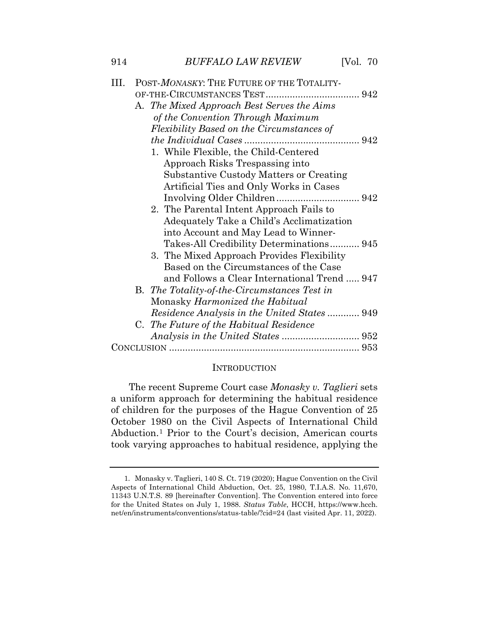| III. | POST-MONASKY: THE FUTURE OF THE TOTALITY-    |
|------|----------------------------------------------|
|      |                                              |
|      | A. The Mixed Approach Best Serves the Aims   |
|      | of the Convention Through Maximum            |
|      | Flexibility Based on the Circumstances of    |
|      |                                              |
|      | 1. While Flexible, the Child-Centered        |
|      | Approach Risks Trespassing into              |
|      | Substantive Custody Matters or Creating      |
|      | Artificial Ties and Only Works in Cases      |
|      |                                              |
|      | 2. The Parental Intent Approach Fails to     |
|      | Adequately Take a Child's Acclimatization    |
|      | into Account and May Lead to Winner-         |
|      | Takes-All Credibility Determinations 945     |
|      | 3. The Mixed Approach Provides Flexibility   |
|      | Based on the Circumstances of the Case       |
|      | and Follows a Clear International Trend  947 |
|      | B. The Totality-of-the-Circumstances Test in |
|      | Monasky Harmonized the Habitual              |
|      | Residence Analysis in the United States 949  |
|      | C. The Future of the Habitual Residence      |
|      |                                              |
|      |                                              |

#### **INTRODUCTION**

 The recent Supreme Court case *Monasky v. Taglieri* sets a uniform approach for determining the habitual residence of children for the purposes of the Hague Convention of 25 October 1980 on the Civil Aspects of International Child Abduction.[1](#page-2-0) Prior to the Court's decision, American courts took varying approaches to habitual residence, applying the

<span id="page-2-0"></span> Aspects of International Child Abduction, Oct. 25, 1980, T.I.A.S. No. 11,670, 11343 U.N.T.S. 89 [hereinafter Convention]. The Convention entered into force 1. Monasky v. Taglieri, 140 S. Ct. 719 (2020); Hague Convention on the Civil for the United States on July 1, 1988. *Status Table*, HCCH, [https://www.hcch.](https://www.hcch) net/en/instruments/conventions/status-table/?cid=24 (last visited Apr. 11, 2022).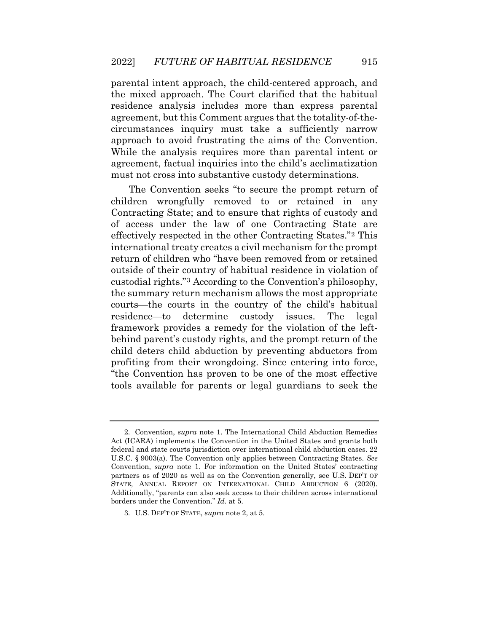parental intent approach, the child-centered approach, and the mixed approach. The Court clarified that the habitual residence analysis includes more than express parental agreement, but this Comment argues that the totality-of-thecircumstances inquiry must take a sufficiently narrow approach to avoid frustrating the aims of the Convention. While the analysis requires more than parental intent or agreement, factual inquiries into the child's acclimatization must not cross into substantive custody determinations.

 children wrongfully removed to or retained in any courts—the courts in the country of the child's habitual profiting from their wrongdoing. Since entering into force, The Convention seeks "to secure the prompt return of Contracting State; and to ensure that rights of custody and of access under the law of one Contracting State are effectively respected in the other Contracting States."[2](#page-3-0) This international treaty creates a civil mechanism for the prompt return of children who "have been removed from or retained outside of their country of habitual residence in violation of custodial rights."[3](#page-3-1) According to the Convention's philosophy, the summary return mechanism allows the most appropriate residence—to determine custody issues. The legal framework provides a remedy for the violation of the leftbehind parent's custody rights, and the prompt return of the child deters child abduction by preventing abductors from "the Convention has proven to be one of the most effective tools available for parents or legal guardians to seek the

<span id="page-3-0"></span> U.S.C. § 9003(a). The Convention only applies between Contracting States. *See*  partners as of 2020 as well as on the Convention generally, see U.S. DEP'T OF borders under the Convention." *Id.* at 5. 2. Convention, *supra* note 1. The International Child Abduction Remedies Act (ICARA) implements the Convention in the United States and grants both federal and state courts jurisdiction over international child abduction cases. 22 Convention, *supra* note 1. For information on the United States' contracting STATE, ANNUAL REPORT ON INTERNATIONAL CHILD ABDUCTION 6 (2020). Additionally, "parents can also seek access to their children across international

<span id="page-3-1"></span><sup>3.</sup> U.S. DEP'T OF STATE, *supra* note 2, at 5.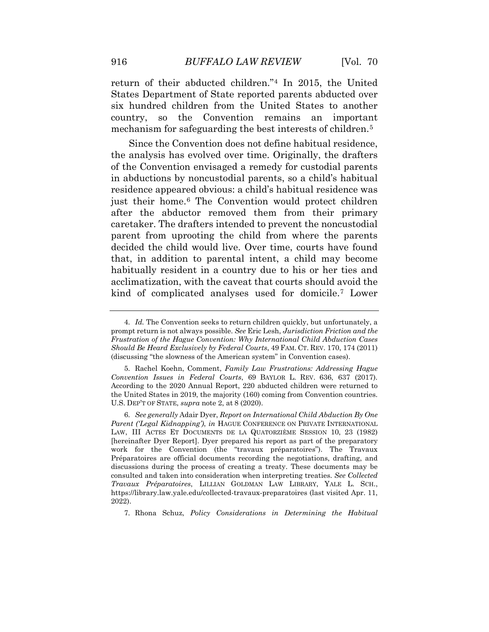return of their abducted children."[4](#page-4-0) In 2015, the United six hundred children from the United States to another States Department of State reported parents abducted over country, so the Convention remains an important mechanism for safeguarding the best interests of children.[5](#page-4-1)

 in abductions by noncustodial parents, so a child's habitual just their home.[6](#page-4-2) The Convention would protect children that, in addition to parental intent, a child may become habitually resident in a country due to his or her ties and kind of complicated analyses used for domicile.[7](#page-5-0) Lower Since the Convention does not define habitual residence, the analysis has evolved over time. Originally, the drafters of the Convention envisaged a remedy for custodial parents residence appeared obvious: a child's habitual residence was after the abductor removed them from their primary caretaker. The drafters intended to prevent the noncustodial parent from uprooting the child from where the parents decided the child would live. Over time, courts have found acclimatization, with the caveat that courts should avoid the

7. Rhona Schuz, *Policy Considerations in Determining the Habitual* 

<span id="page-4-0"></span> 4. *Id.* The Convention seeks to return children quickly, but unfortunately, a prompt return is not always possible. *See* Eric Lesh, *Jurisdiction Friction and the Should Be Heard Exclusively by Federal Courts*, 49 FAM. CT. REV. 170, 174 (2011) *Frustration of the Hague Convention: Why International Child Abduction Cases*  (discussing "the slowness of the American system" in Convention cases).

<span id="page-4-1"></span> *Convention Issues in Federal Courts*, 69 BAYLOR L. REV. 636, 637 (2017). the United States in 2019, the majority (160) coming from Convention countries. U.S. DEP'T OF STATE, *supra* note 2, at 8 (2020). 5. Rachel Koehn, Comment, *Family Law Frustrations: Addressing Hague*  According to the 2020 Annual Report, 220 abducted children were returned to

<span id="page-4-2"></span> 6. *See generally* Adair Dyer, *Report on International Child Abduction By One*  LAW, III ACTES ET DOCUMENTS DE LA QUATORZIÈME SESSION 10, 23 (1982) [hereinafter Dyer Report]. Dyer prepared his report as part of the preparatory work for the Convention (the "travaux préparatoires"). The Travaux <https://library.law.yale.edu/collected-travaux-preparatoires>(last visited Apr. 11, *Parent ('Legal Kidnapping')*, *in* HAGUE CONFERENCE ON PRIVATE INTERNATIONAL Préparatoires are official documents recording the negotiations, drafting, and discussions during the process of creating a treaty. These documents may be consulted and taken into consideration when interpreting treaties. *See Collected Travaux Préparatoires*, LILLIAN GOLDMAN LAW LIBRARY, YALE L. SCH., 2022).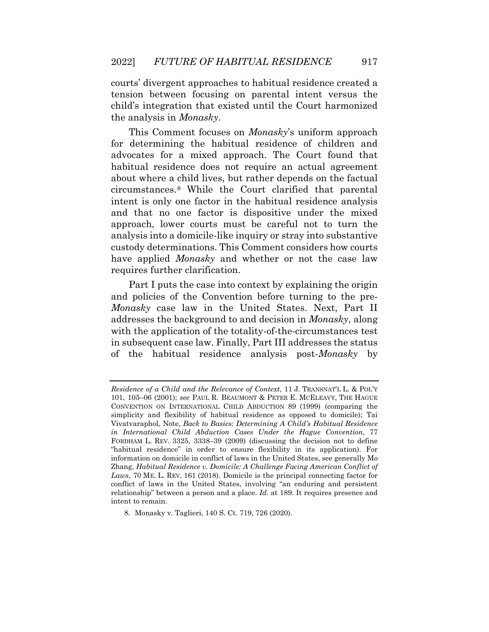courts' divergent approaches to habitual residence created a child's integration that existed until the Court harmonized tension between focusing on parental intent versus the the analysis in *Monasky*.

 intent is only one factor in the habitual residence analysis custody determinations. This Comment considers how courts have applied *Monasky* and whether or not the case law This Comment focuses on *Monasky*'s uniform approach for determining the habitual residence of children and advocates for a mixed approach. The Court found that habitual residence does not require an actual agreement about where a child lives, but rather depends on the factual circumstances.[8](#page-5-1) While the Court clarified that parental and that no one factor is dispositive under the mixed approach, lower courts must be careful not to turn the analysis into a domicile-like inquiry or stray into substantive requires further clarification.

 *Monasky* case law in the United States. Next, Part II addresses the background to and decision in *Monasky*, along with the application of the totality-of-the-circumstances test of the habitual residence analysis post-*Monasky* by Part I puts the case into context by explaining the origin and policies of the Convention before turning to the prein subsequent case law. Finally, Part III addresses the status

<span id="page-5-0"></span> *Residence of a Child and the Relevance of Context*, 11 J. TRANSNAT'L L. & POL'Y CONVENTION ON INTERNATIONAL CHILD ABDUCTION 89 (1999) (comparing the simplicity and flexibility of habitual residence as opposed to domicile); Tai FORDHAM L. REV. 3325, 3338–39 (2009) (discussing the decision not to define information on domicile in conflict of laws in the United States, see generally Mo  Zhang, *Habitual Residence v. Domicile: A Challenge Facing American Conflict of Laws*, 70 ME. L. REV. 161 (2018). Domicile is the principal connecting factor for 101, 105–06 (2001); *see* PAUL R. BEAUMONT & PETER E. MCELEAVY, THE HAGUE Vivatvaraphol, Note, *Back to Basics: Determining A Child's Habitual Residence in International Child Abduction Cases Under the Hague Convention*, 77 "habitual residence" in order to ensure flexibility in its application). For conflict of laws in the United States, involving "an enduring and persistent relationship" between a person and a place. *Id.* at 189. It requires presence and intent to remain.

<span id="page-5-1"></span><sup>8.</sup> Monasky v. Taglieri, 140 S. Ct. 719, 726 (2020).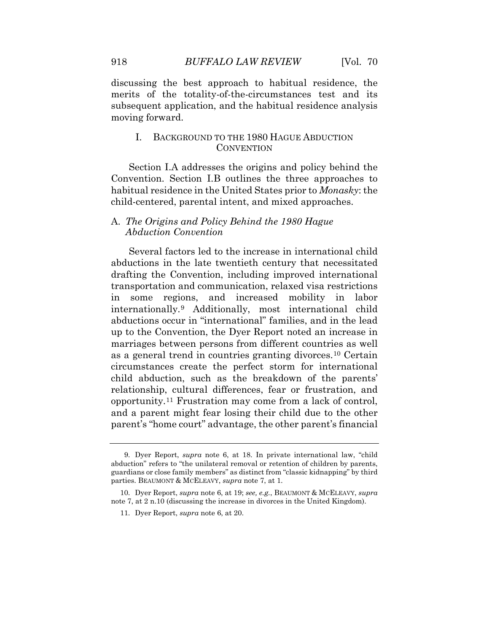subsequent application, and the habitual residence analysis discussing the best approach to habitual residence, the merits of the totality-of-the-circumstances test and its moving forward.

#### I. BACKGROUND TO THE 1980 HAGUE ABDUCTION **CONVENTION**

Section I.A addresses the origins and policy behind the Convention. Section I.B outlines the three approaches to habitual residence in the United States prior to *Monasky*: the child-centered, parental intent, and mixed approaches.

#### A. *The Origins and Policy Behind the 1980 Hague Abduction Convention*

 parent's "home court" advantage, the other parent's financial Several factors led to the increase in international child abductions in the late twentieth century that necessitated drafting the Convention, including improved international transportation and communication, relaxed visa restrictions in some regions, and increased mobility in labor internationally.[9](#page-6-0) Additionally, most international child abductions occur in "international" families, and in the lead up to the Convention, the Dyer Report noted an increase in marriages between persons from different countries as well as a general trend in countries granting divorces.[10](#page-6-1) Certain circumstances create the perfect storm for international child abduction, such as the breakdown of the parents' relationship, cultural differences, fear or frustration, and opportunity.[11](#page-7-0) Frustration may come from a lack of control, and a parent might fear losing their child due to the other

<span id="page-6-0"></span> guardians or close family members" as distinct from "classic kidnapping" by third parties. BEAUMONT & MCELEAVY, *supra* note 7, at 1. 9. Dyer Report, *supra* note 6, at 18. In private international law, "child abduction" refers to "the unilateral removal or retention of children by parents,

<span id="page-6-1"></span><sup>10.</sup> Dyer Report, *supra* note 6, at 19; *see, e.g.*, BEAUMONT & MCELEAVY, *supra*  note 7, at 2 n.10 (discussing the increase in divorces in the United Kingdom).

<sup>11.</sup> Dyer Report, *supra* note 6, at 20.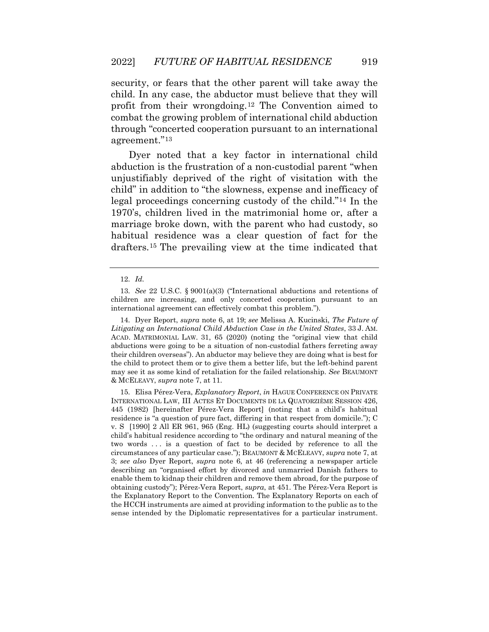security, or fears that the other parent will take away the child. In any case, the abductor must believe that they will profit from their wrongdoing.[12](#page-7-1) The Convention aimed to combat the growing problem of international child abduction through "concerted cooperation pursuant to an international agreement."[13](#page-7-2) 

 abduction is the frustration of a non-custodial parent "when marriage broke down, with the parent who had custody, so habitual residence was a clear question of fact for the Dyer noted that a key factor in international child unjustifiably deprived of the right of visitation with the child" in addition to "the slowness, expense and inefficacy of legal proceedings concerning custody of the child."[14](#page-7-3) In the 1970's, children lived in the matrimonial home or, after a drafters.[15](#page-7-4) The prevailing view at the time indicated that

<span id="page-7-2"></span><span id="page-7-1"></span><span id="page-7-0"></span> *Litigating an International Child Abduction Case in the United States*, 33 J. AM. ACAD. MATRIMONIAL LAW. 31, 65 (2020) (noting the "original view that child abductions were going to be a situation of non-custodial fathers ferreting away may see it as some kind of retaliation for the failed relationship. *See* BEAUMONT & MCELEAVY, *supra* note 7, at 11. 14. Dyer Report, *supra* note 6, at 19; *see* Melissa A. Kucinski, *The Future of*  their children overseas"). An abductor may believe they are doing what is best for the child to protect them or to give them a better life, but the left-behind parent

<span id="page-7-4"></span><span id="page-7-3"></span> v. S [1990] 2 All ER 961, 965 (Eng. HL) (suggesting courts should interpret a child's habitual residence according to "the ordinary and natural meaning of the two words . . . is a question of fact to be decided by reference to all the circumstances of any particular case."); BEAUMONT & MCELEAVY, *supra* note 7, at describing an "organised effort by divorced and unmarried Danish fathers to enable them to kidnap their children and remove them abroad, for the purpose of the Explanatory Report to the Convention. The Explanatory Reports on each of the HCCH instruments are aimed at providing information to the public as to the 15. Elisa Pérez-Vera, *Explanatory Report*, *in* HAGUE CONFERENCE ON PRIVATE INTERNATIONAL LAW, III ACTES ET DOCUMENTS DE LA QUATORZIÈME SESSION 426, 445 (1982) [hereinafter Pérez-Vera Report] (noting that a child's habitual residence is "a question of pure fact, differing in that respect from domicile."); C 3; *see also* Dyer Report, *supra* note 6, at 46 (referencing a newspaper article obtaining custody"); Pérez-Vera Report, *supra*, at 451. The Pérez-Vera Report is sense intended by the Diplomatic representatives for a particular instrument.

 12. *Id.* 

 children are increasing, and only concerted cooperation pursuant to an 13. *See* 22 U.S.C. § 9001(a)(3) ("International abductions and retentions of international agreement can effectively combat this problem.").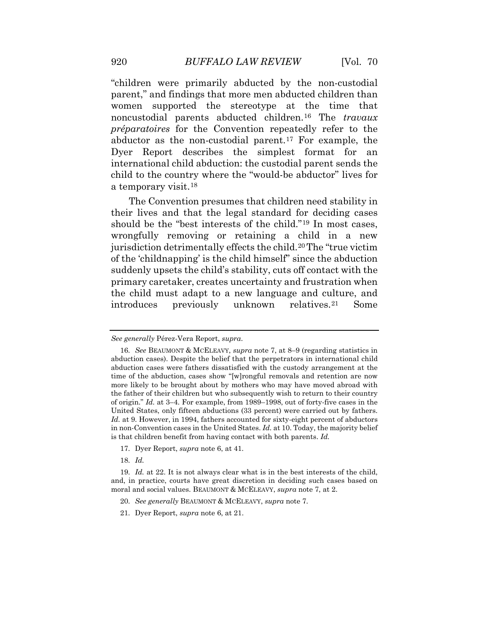Dyer Report describes the simplest format for an child to the country where the "would-be abductor" lives for "children were primarily abducted by the non-custodial parent," and findings that more men abducted children than women supported the stereotype at the time that noncustodial parents abducted children.[16](#page-8-0) The *travaux préparatoires* for the Convention repeatedly refer to the abductor as the non-custodial parent.<sup>[17](#page-8-1)</sup> For example, the international child abduction: the custodial parent sends the a temporary visit.[18](#page-8-2)

 introduces previously unknown relatives.[21](#page-9-0) Some The Convention presumes that children need stability in their lives and that the legal standard for deciding cases should be the "best interests of the child."[19](#page-8-3) In most cases, wrongfully removing or retaining a child in a new jurisdiction detrimentally effects the child.[20](#page-8-4) The "true victim of the 'childnapping' is the child himself" since the abduction suddenly upsets the child's stability, cuts off contact with the primary caretaker, creates uncertainty and frustration when the child must adapt to a new language and culture, and

- 17. Dyer Report, *supra* note 6, at 41.
- 18. *Id.*

*See generally* Pérez-Vera Report, *supra*.

<span id="page-8-0"></span> 16. *See* BEAUMONT & MCELEAVY, *supra* note 7, at 8–9 (regarding statistics in time of the abduction, cases show "[w]rongful removals and retention are now of origin." *Id.* at 3–4. For example, from 1989–1998, out of forty-five cases in the United States, only fifteen abductions (33 percent) were carried out by fathers. *Id.* at 9. However, in 1994, fathers accounted for sixty-eight percent of abductors abduction cases). Despite the belief that the perpetrators in international child abduction cases were fathers dissatisfied with the custody arrangement at the more likely to be brought about by mothers who may have moved abroad with the father of their children but who subsequently wish to return to their country in non-Convention cases in the United States. *Id.* at 10. Today, the majority belief is that children benefit from having contact with both parents. *Id.* 

<span id="page-8-4"></span><span id="page-8-3"></span><span id="page-8-2"></span><span id="page-8-1"></span> 19. *Id.* at 22. It is not always clear what is in the best interests of the child, and, in practice, courts have great discretion in deciding such cases based on moral and social values. BEAUMONT & MCELEAVY, *supra* note 7, at 2.

<sup>20.</sup> *See generally* BEAUMONT & MCELEAVY, *supra* note 7.

<sup>21.</sup> Dyer Report, *supra* note 6, at 21.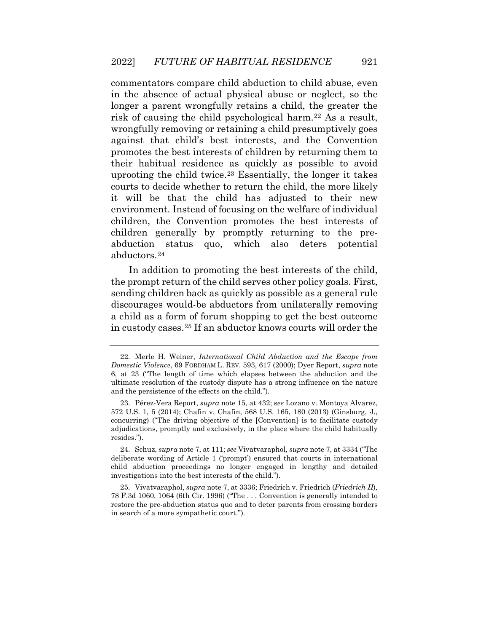uprooting the child twice[.23](#page-9-2) Essentially, the longer it takes commentators compare child abduction to child abuse, even in the absence of actual physical abuse or neglect, so the longer a parent wrongfully retains a child, the greater the risk of causing the child psychological harm.[22](#page-9-1) As a result, wrongfully removing or retaining a child presumptively goes against that child's best interests, and the Convention promotes the best interests of children by returning them to their habitual residence as quickly as possible to avoid courts to decide whether to return the child, the more likely it will be that the child has adjusted to their new environment. Instead of focusing on the welfare of individual children, the Convention promotes the best interests of children generally by promptly returning to the preabduction status quo, which also deters potential abductors.[24](#page-9-3)

In addition to promoting the best interests of the child, the prompt return of the child serves other policy goals. First, sending children back as quickly as possible as a general rule discourages would-be abductors from unilaterally removing a child as a form of forum shopping to get the best outcome in custody cases.[25](#page-10-0) If an abductor knows courts will order the

<span id="page-9-2"></span> child abduction proceedings no longer engaged in lengthy and detailed 24. Schuz, *supra* note 7, at 111; *see* Vivatvaraphol, *supra* note 7, at 3334 ("The deliberate wording of Article 1 ('prompt') ensured that courts in international investigations into the best interests of the child.").

<span id="page-9-3"></span> 78 F.3d 1060, 1064 (6th Cir. 1996) ("The . . . Convention is generally intended to restore the pre-abduction status quo and to deter parents from crossing borders 25. Vivatvaraphol, *supra* note 7, at 3336; Friedrich v. Friedrich (*Friedrich II*)*,*  in search of a more sympathetic court.").

<span id="page-9-0"></span><sup>22.</sup> Merle H. Weiner, *International Child Abduction and the Escape from Domestic Violence*, 69 FORDHAM L. REV. 593, 617 (2000); Dyer Report, *supra* note 6, at 23 ("The length of time which elapses between the abduction and the ultimate resolution of the custody dispute has a strong influence on the nature and the persistence of the effects on the child.").

<span id="page-9-1"></span><sup>23.</sup> Pérez-Vera Report, *supra* note 15, at 432; s*ee* Lozano v. Montoya Alvarez, 572 U.S. 1, 5 (2014); Chafin v. Chafin, 568 U.S. 165, 180 (2013) (Ginsburg, J., concurring) ("The driving objective of the [Convention] is to facilitate custody adjudications, promptly and exclusively, in the place where the child habitually resides.").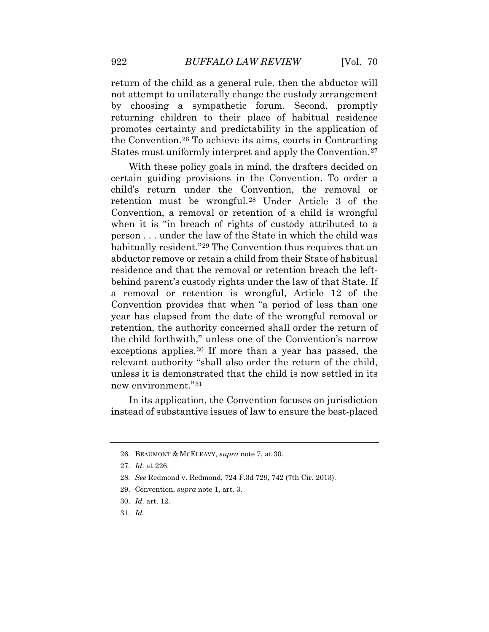$[Vol. 70$ 

 promotes certainty and predictability in the application of return of the child as a general rule, then the abductor will not attempt to unilaterally change the custody arrangement by choosing a sympathetic forum. Second, promptly returning children to their place of habitual residence the Convention.[26](#page-10-1) To achieve its aims, courts in Contracting States must uniformly interpret and apply the Convention.<sup>[27](#page-10-2)</sup>

 Convention, a removal or retention of a child is wrongful person . . . under the law of the State in which the child was a removal or retention is wrongful, Article 12 of the With these policy goals in mind, the drafters decided on certain guiding provisions in the Convention. To order a child's return under the Convention, the removal or retention must be wrongful.[28](#page-10-3) Under Article 3 of the when it is "in breach of rights of custody attributed to a habitually resident."<sup>[29](#page-10-4)</sup> The Convention thus requires that an abductor remove or retain a child from their State of habitual residence and that the removal or retention breach the leftbehind parent's custody rights under the law of that State. If Convention provides that when "a period of less than one year has elapsed from the date of the wrongful removal or retention, the authority concerned shall order the return of the child forthwith," unless one of the Convention's narrow exceptions applies.[30](#page-11-0) If more than a year has passed, the relevant authority "shall also order the return of the child, unless it is demonstrated that the child is now settled in its new environment."[31](#page-11-1)

<span id="page-10-0"></span>In its application, the Convention focuses on jurisdiction instead of substantive issues of law to ensure the best-placed

<span id="page-10-1"></span><sup>26.</sup> BEAUMONT & MCELEAVY, *supra* note 7, at 30.

 27. *Id.* at 226.

<span id="page-10-2"></span><sup>28.</sup> *See* Redmond v. Redmond, 724 F.3d 729, 742 (7th Cir. 2013).

<span id="page-10-3"></span><sup>29.</sup> Convention, *supra* note 1, art. 3.

<span id="page-10-4"></span> 30. *Id.* art. 12.

 31. *Id.*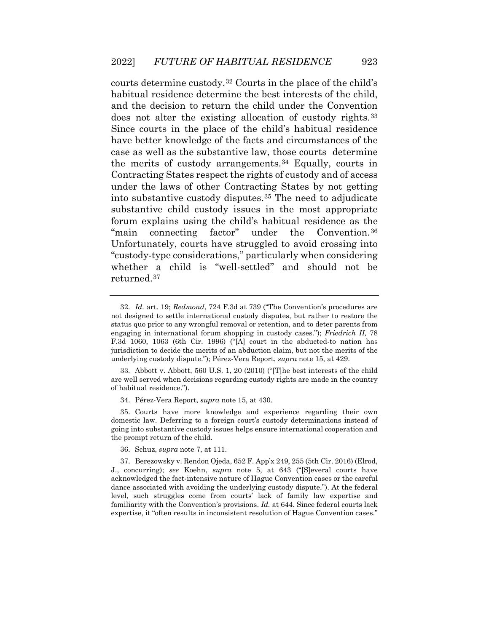does not alter the existing allocation of custody rights.[33](#page-11-3) have better knowledge of the facts and circumstances of the courts determine custody.[32](#page-11-2) Courts in the place of the child's habitual residence determine the best interests of the child, and the decision to return the child under the Convention Since courts in the place of the child's habitual residence case as well as the substantive law, those courts determine the merits of custody arrangements.[34](#page-11-4) Equally, courts in Contracting States respect the rights of custody and of access under the laws of other Contracting States by not getting into substantive custody disputes.[35](#page-11-5) The need to adjudicate substantive child custody issues in the most appropriate forum explains using the child's habitual residence as the "main connecting factor" under the Convention.[36](#page-11-6) Unfortunately, courts have struggled to avoid crossing into "custody-type considerations," particularly when considering whether a child is "well-settled" and should not be returned.[37](#page-12-0) 

<span id="page-11-2"></span><span id="page-11-1"></span> are well served when decisions regarding custody rights are made in the country 33. Abbott v. Abbott, 560 U.S. 1, 20 (2010) ("[T]he best interests of the child of habitual residence.").

34. Pérez-Vera Report, *supra* note 15, at 430.

<span id="page-11-3"></span> domestic law. Deferring to a foreign court's custody determinations instead of 35. Courts have more knowledge and experience regarding their own going into substantive custody issues helps ensure international cooperation and the prompt return of the child.

36. Schuz, *supra* note 7, at 111.

<span id="page-11-6"></span><span id="page-11-5"></span><span id="page-11-4"></span> J., concurring); *see* Koehn, *supra* note 5, at 643 ("[S]everal courts have acknowledged the fact-intensive nature of Hague Convention cases or the careful 37. Berezowsky v. Rendon Ojeda, 652 F. App'x 249, 255 (5th Cir. 2016) (Elrod, dance associated with avoiding the underlying custody dispute."). At the federal level, such struggles come from courts' lack of family law expertise and familiarity with the Convention's provisions. *Id.* at 644. Since federal courts lack expertise, it "often results in inconsistent resolution of Hague Convention cases."

<span id="page-11-0"></span> underlying custody dispute."); Pérez-Vera Report, *supra* note 15, at 429. 32. *Id.* art. 19; *Redmond*, 724 F.3d at 739 ("The Convention's procedures are not designed to settle international custody disputes, but rather to restore the status quo prior to any wrongful removal or retention, and to deter parents from engaging in international forum shopping in custody cases."); *Friedrich II,* 78 F.3d 1060, 1063 (6th Cir. 1996) ("[A] court in the abducted-to nation has jurisdiction to decide the merits of an abduction claim, but not the merits of the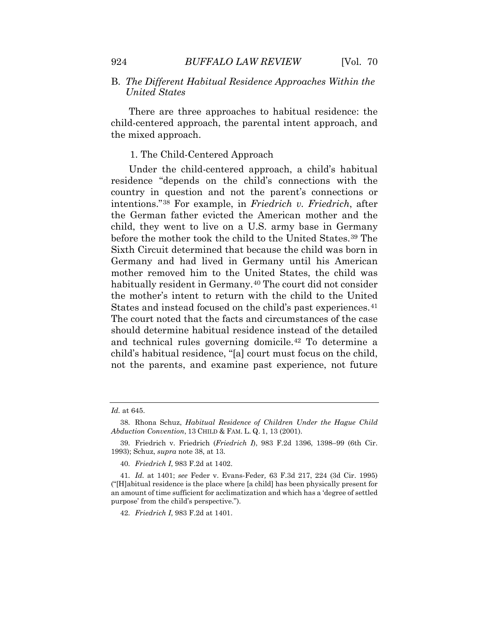There are three approaches to habitual residence: the child-centered approach, the parental intent approach, and the mixed approach.

#### 1. The Child-Centered Approach

 residence "depends on the child's connections with the States and instead focused on the child's past experiences.<sup>[41](#page-13-0)</sup> The court noted that the facts and circumstances of the case should determine habitual residence instead of the detailed and technical rules governing domicile.[42](#page-13-1) To determine a not the parents, and examine past experience, not future Under the child-centered approach, a child's habitual country in question and not the parent's connections or intentions."[38](#page-12-1) For example, in *Friedrich v. Friedrich*, after the German father evicted the American mother and the child, they went to live on a U.S. army base in Germany before the mother took the child to the United States.<sup>39</sup> The Sixth Circuit determined that because the child was born in Germany and had lived in Germany until his American mother removed him to the United States, the child was habitually resident in Germany.<sup>[40](#page-12-3)</sup> The court did not consider the mother's intent to return with the child to the United child's habitual residence, "[a] court must focus on the child,

<span id="page-12-0"></span> *Id.* at 645.

 *Abduction Convention*, 13 CHILD & FAM. L. Q. 1, 13 (2001). 38. Rhona Schuz, *Habitual Residence of Children Under the Hague Child* 

<sup>39.</sup> Friedrich v. Friedrich (*Friedrich I*), 983 F.2d 1396, 1398–99 (6th Cir. 1993); Schuz, *supra* note 38, at 13.

<sup>40.</sup> *Friedrich I*, 983 F.2d at 1402.

<span id="page-12-3"></span><span id="page-12-2"></span><span id="page-12-1"></span> 41. *Id.* at 1401; *see* Feder v. Evans-Feder*,* 63 F.3d 217, 224 (3d Cir. 1995) ("[H]abitual residence is the place where [a child] has been physically present for an amount of time sufficient for acclimatization and which has a 'degree of settled purpose' from the child's perspective.").

<sup>42.</sup> *Friedrich I*, 983 F.2d at 1401.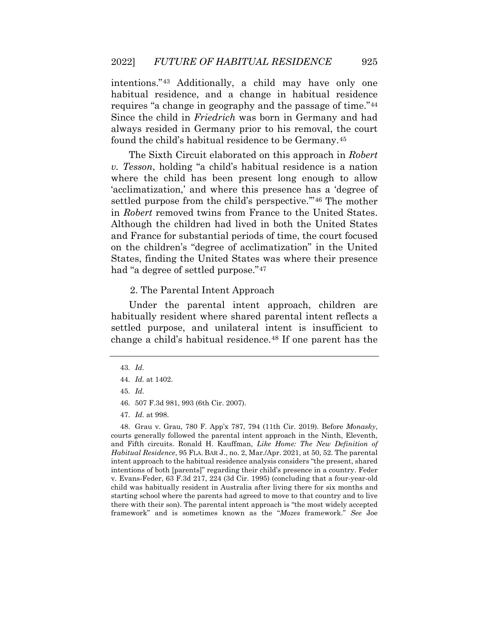intentions."[43](#page-13-2) Additionally, a child may have only one habitual residence, and a change in habitual residence requires "a change in geography and the passage of time."[44](#page-13-3) Since the child in *Friedrich* was born in Germany and had always resided in Germany prior to his removal, the court found the child's habitual residence to be Germany.[45](#page-13-4) 

 'acclimatization,' and where this presence has a 'degree of in *Robert* removed twins from France to the United States. The Sixth Circuit elaborated on this approach in *Robert v. Tesson*, holding "a child's habitual residence is a nation where the child has been present long enough to allow settled purpose from the child's perspective."<sup>[46](#page-13-5)</sup> The mother Although the children had lived in both the United States and France for substantial periods of time, the court focused on the children's "degree of acclimatization" in the United States, finding the United States was where their presence had "a degree of settled purpose."[47](#page-13-6) 

#### 2. The Parental Intent Approach

Under the parental intent approach, children are habitually resident where shared parental intent reflects a settled purpose, and unilateral intent is insufficient to change a child's habitual residence.[48](#page-14-0) If one parent has the

<span id="page-13-6"></span><span id="page-13-5"></span><span id="page-13-4"></span><span id="page-13-3"></span><span id="page-13-2"></span><span id="page-13-1"></span><span id="page-13-0"></span> courts generally followed the parental intent approach in the Ninth, Eleventh,  and Fifth circuits. Ronald H. Kauffman, *Like Home: The New Definition of*  intentions of both [parents]" regarding their child's presence in a country. Feder v. Evans-Feder, 63 F.3d 217, 224 (3d Cir. 1995) (concluding that a four-year-old 48. Grau v. Grau, 780 F. App'x 787, 794 (11th Cir. 2019). Before *Monasky*, *Habitual Residence*, 95 FLA. BAR J., no. 2, Mar./Apr. 2021, at 50, 52. The parental intent approach to the habitual residence analysis considers "the present, shared child was habitually resident in Australia after living there for six months and starting school where the parents had agreed to move to that country and to live there with their son). The parental intent approach is "the most widely accepted framework" and is sometimes known as the "*Mozes* framework." *See* Joe

 43. *Id.* 

 44. *Id.* at 1402.

 45. *Id.* 

<sup>46. 507</sup> F.3d 981, 993 (6th Cir. 2007).

 47. *Id.* at 998.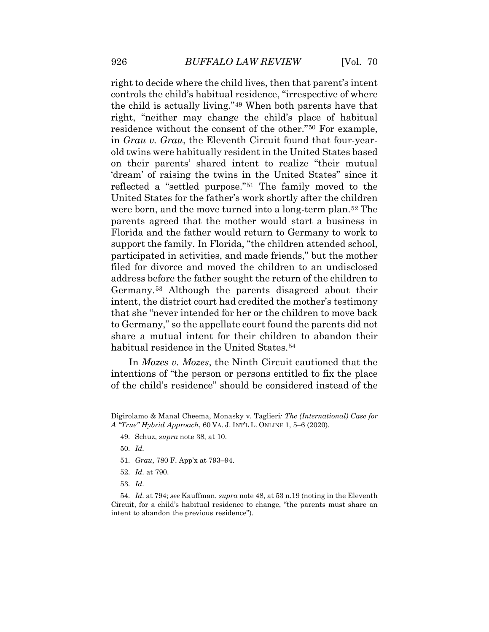residence without the consent of the other."[50](#page-14-2) For example, 'dream' of raising the twins in the United States" since it United States for the father's work shortly after the children parents agreed that the mother would start a business in Florida and the father would return to Germany to work to intent, the district court had credited the mother's testimony right to decide where the child lives, then that parent's intent controls the child's habitual residence, "irrespective of where the child is actually living."[49](#page-14-1) When both parents have that right, "neither may change the child's place of habitual in *Grau v. Grau*, the Eleventh Circuit found that four-yearold twins were habitually resident in the United States based on their parents' shared intent to realize "their mutual reflected a "settled purpose."[51](#page-14-3) The family moved to the were born, and the move turned into a long-term plan.[52](#page-14-4) The support the family. In Florida, "the children attended school, participated in activities, and made friends," but the mother filed for divorce and moved the children to an undisclosed address before the father sought the return of the children to Germany.[53](#page-15-0) Although the parents disagreed about their that she "never intended for her or the children to move back to Germany," so the appellate court found the parents did not share a mutual intent for their children to abandon their habitual residence in the United States.<sup>[54](#page-15-1)</sup>

<span id="page-14-0"></span>In *Mozes v. Mozes*, the Ninth Circuit cautioned that the intentions of "the person or persons entitled to fix the place of the child's residence" should be considered instead of the

50. *Id.* 

- 51. *Grau*, 780 F. App'x at 793–94.
- 52. *Id.* at 790.

53. *Id.* 

<span id="page-14-4"></span><span id="page-14-3"></span><span id="page-14-2"></span><span id="page-14-1"></span> 54. *Id.* at 794; *see* Kauffman, *supra* note 48, at 53 n.19 (noting in the Eleventh Circuit, for a child's habitual residence to change, "the parents must share an intent to abandon the previous residence").

 Digirolamo & Manal Cheema, Monasky v. Taglieri*: The (International) Case for A "True" Hybrid Approach*, 60 VA. J. INT'L L. ONLINE 1, 5–6 (2020).

<sup>49.</sup> Schuz, *supra* note 38, at 10.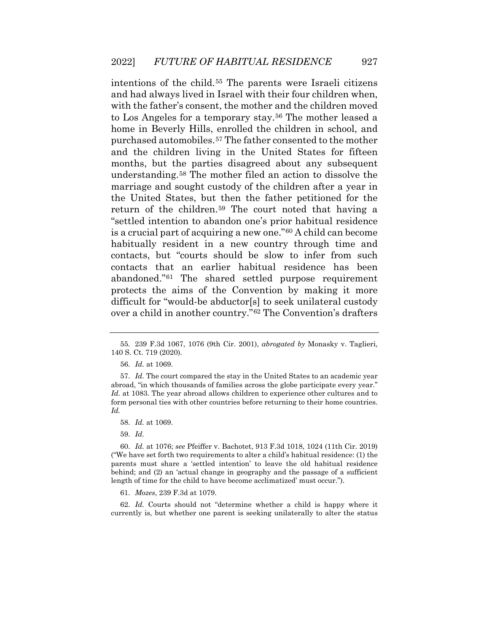and had always lived in Israel with their four children when, purchased automobiles.[57](#page-15-4) The father consented to the mother return of the children.[59](#page-15-6) The court noted that having a intentions of the child.[55](#page-15-2) The parents were Israeli citizens with the father's consent, the mother and the children moved to Los Angeles for a temporary stay.[56](#page-15-3) The mother leased a home in Beverly Hills, enrolled the children in school, and and the children living in the United States for fifteen months, but the parties disagreed about any subsequent understanding.[58](#page-15-5) The mother filed an action to dissolve the marriage and sought custody of the children after a year in the United States, but then the father petitioned for the "settled intention to abandon one's prior habitual residence is a crucial part of acquiring a new one."[60](#page-16-0) A child can become habitually resident in a new country through time and contacts, but "courts should be slow to infer from such contacts that an earlier habitual residence has been abandoned."[61](#page-16-1) The shared settled purpose requirement protects the aims of the Convention by making it more difficult for "would-be abductor[s] to seek unilateral custody over a child in another country."[62](#page-16-2) The Convention's drafters

61. *Mozes*, 239 F.3d at 1079.

<span id="page-15-6"></span><span id="page-15-5"></span> 62. *Id.* Courts should not "determine whether a child is happy where it currently is, but whether one parent is seeking unilaterally to alter the status

<sup>55. 239</sup> F.3d 1067, 1076 (9th Cir. 2001), *abrogated by* Monasky v. Taglieri, 140 S. Ct. 719 (2020).

 56. *Id.* at 1069.

<span id="page-15-1"></span><span id="page-15-0"></span> 57. *Id.* The court compared the stay in the United States to an academic year abroad, "in which thousands of families across the globe participate every year." form personal ties with other countries before returning to their home countries. *Id.* at 1083. The year abroad allows children to experience other cultures and to *Id.* 

 58. *Id.* at 1069.

 59. *Id.* 

<span id="page-15-4"></span><span id="page-15-3"></span><span id="page-15-2"></span> 60. *Id.* at 1076; *see* Pfeiffer v. Bachotet, 913 F.3d 1018, 1024 (11th Cir. 2019) behind; and (2) an 'actual change in geography and the passage of a sufficient length of time for the child to have become acclimatized' must occur."). ("We have set forth two requirements to alter a child's habitual residence: (1) the parents must share a 'settled intention' to leave the old habitual residence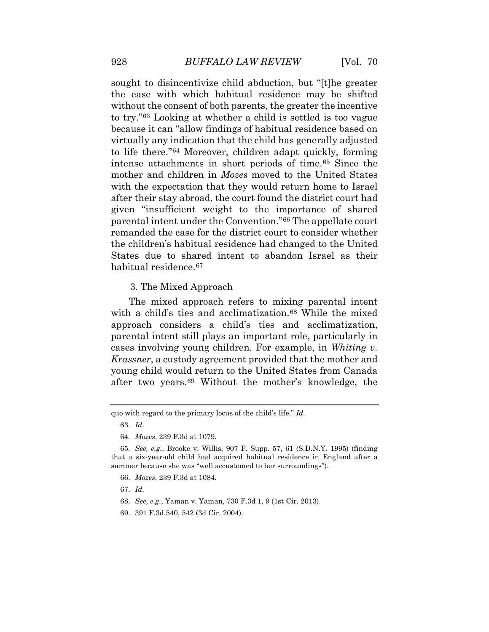sought to disincentivize child abduction, but "[t]he greater to try."[63](#page-16-3) Looking at whether a child is settled is too vague because it can "allow findings of habitual residence based on to life there."[64](#page-16-4) Moreover, children adapt quickly, forming mother and children in *Mozes* moved to the United States the children's habitual residence had changed to the United States due to shared intent to abandon Israel as their the ease with which habitual residence may be shifted without the consent of both parents, the greater the incentive virtually any indication that the child has generally adjusted intense attachments in short periods of time.[65](#page-16-5) Since the with the expectation that they would return home to Israel after their stay abroad, the court found the district court had given "insufficient weight to the importance of shared parental intent under the Convention."[66](#page-16-6) The appellate court remanded the case for the district court to consider whether habitual residence.<sup>[67](#page-17-0)</sup>

3. The Mixed Approach

The mixed approach refers to mixing parental intent with a child's ties and acclimatization.<sup>68</sup> While the mixed approach considers a child's ties and acclimatization, parental intent still plays an important role, particularly in cases involving young children. For example, in *Whiting v. Krassner*, a custody agreement provided that the mother and young child would return to the United States from Canada after two years.[69](#page-17-2) Without the mother's knowledge, the

67. *Id.* 

- <span id="page-16-6"></span>68. *See, e.g.*, Yaman v. Yaman, 730 F.3d 1, 9 (1st Cir. 2013).
- 69. 391 F.3d 540, 542 (3d Cir. 2004).

<span id="page-16-2"></span><span id="page-16-1"></span><span id="page-16-0"></span>quo with regard to the primary locus of the child's life." *Id.* 

 63. *Id.* 

<sup>64.</sup> *Mozes*, 239 F.3d at 1079.

<span id="page-16-5"></span><span id="page-16-4"></span><span id="page-16-3"></span><sup>65.</sup> *See, e.g.*, Brooke v. Willis, 907 F. Supp. 57, 61 (S.D.N.Y. 1995) (finding that a six-year-old child had acquired habitual residence in England after a summer because she was "well accustomed to her surroundings").

<sup>66.</sup> *Mozes*, 239 F.3d at 1084.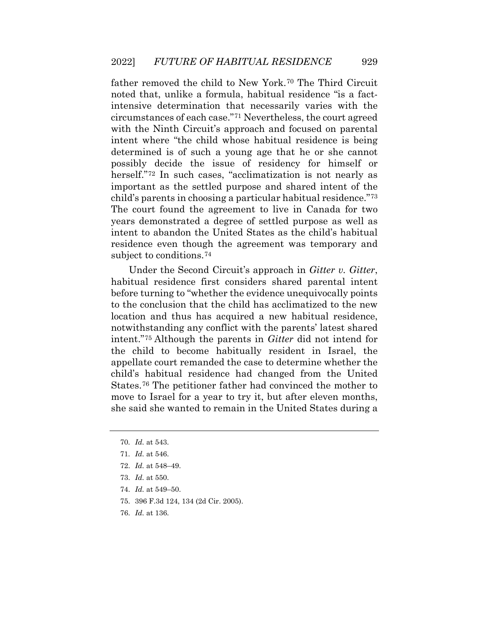circumstances of each case.["71](#page-17-4) Nevertheless, the court agreed years demonstrated a degree of settled purpose as well as father removed the child to New York.[70](#page-17-3) The Third Circuit noted that, unlike a formula, habitual residence "is a factintensive determination that necessarily varies with the with the Ninth Circuit's approach and focused on parental intent where "the child whose habitual residence is being determined is of such a young age that he or she cannot possibly decide the issue of residency for himself or herself."<sup>[72](#page-17-5)</sup> In such cases, "acclimatization is not nearly as important as the settled purpose and shared intent of the child's parents in choosing a particular habitual residence."[73](#page-17-6) The court found the agreement to live in Canada for two intent to abandon the United States as the child's habitual residence even though the agreement was temporary and subject to conditions.[74](#page-18-0) 

 child's habitual residence had changed from the United Under the Second Circuit's approach in *Gitter v. Gitter*, habitual residence first considers shared parental intent before turning to "whether the evidence unequivocally points to the conclusion that the child has acclimatized to the new location and thus has acquired a new habitual residence, notwithstanding any conflict with the parents' latest shared intent."[75](#page-18-1) Although the parents in *Gitter* did not intend for the child to become habitually resident in Israel, the appellate court remanded the case to determine whether the States.[76](#page-18-2) The petitioner father had convinced the mother to move to Israel for a year to try it, but after eleven months, she said she wanted to remain in the United States during a

- <span id="page-17-4"></span>73. *Id.* at 550.
- 74. *Id.* at 549–50.
- <span id="page-17-6"></span><span id="page-17-5"></span>75. 396 F.3d 124, 134 (2d Cir. 2005).
- 76. *Id.* at 136.

<span id="page-17-0"></span> 70. *Id.* at 543.

<span id="page-17-2"></span><span id="page-17-1"></span> 71. *Id.* at 546.

<span id="page-17-3"></span> 72. *Id.* at 548–49.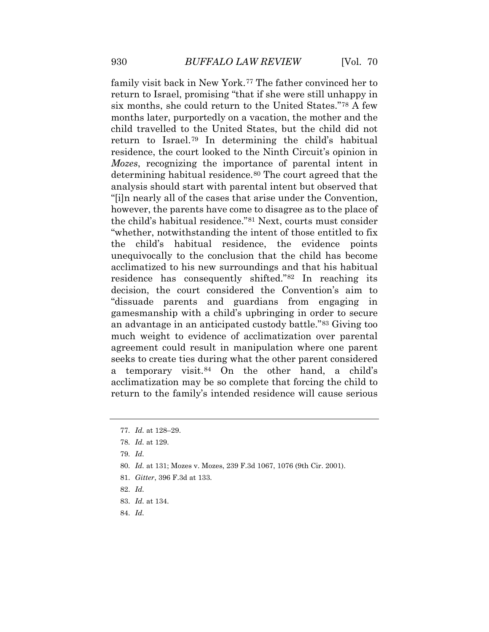family visit back in New York.[77](#page-18-3) The father convinced her to however, the parents have come to disagree as to the place of return to the family's intended residence will cause serious return to Israel, promising "that if she were still unhappy in six months, she could return to the United States."[78](#page-18-4) A few months later, purportedly on a vacation, the mother and the child travelled to the United States, but the child did not return to Israel.[79](#page-18-5) In determining the child's habitual residence, the court looked to the Ninth Circuit's opinion in *Mozes*, recognizing the importance of parental intent in determining habitual residence.<sup>[80](#page-18-6)</sup> The court agreed that the analysis should start with parental intent but observed that "[i]n nearly all of the cases that arise under the Convention, the child's habitual residence."[81](#page-18-7) Next, courts must consider "whether, notwithstanding the intent of those entitled to fix the child's habitual residence, the evidence points unequivocally to the conclusion that the child has become acclimatized to his new surroundings and that his habitual residence has consequently shifted."[82](#page-19-0) In reaching its decision, the court considered the Convention's aim to "dissuade parents and guardians from engaging in gamesmanship with a child's upbringing in order to secure an advantage in an anticipated custody battle."[83](#page-19-1) Giving too much weight to evidence of acclimatization over parental agreement could result in manipulation where one parent seeks to create ties during what the other parent considered a temporary visit.[84](#page-19-2) On the other hand, a child's acclimatization may be so complete that forcing the child to

- <span id="page-18-5"></span>81. *Gitter*, 396 F.3d at 133.
- <span id="page-18-6"></span>82. *Id.*
- 83. *Id.* at 134.
- <span id="page-18-7"></span>84. *Id.*

<span id="page-18-1"></span><span id="page-18-0"></span> 77. *Id.* at 128–29.

<span id="page-18-2"></span> 78. *Id.* at 129.

 79. *Id.* 

<span id="page-18-4"></span><span id="page-18-3"></span> 80. *Id.* at 131; Mozes v. Mozes, 239 F.3d 1067, 1076 (9th Cir. 2001).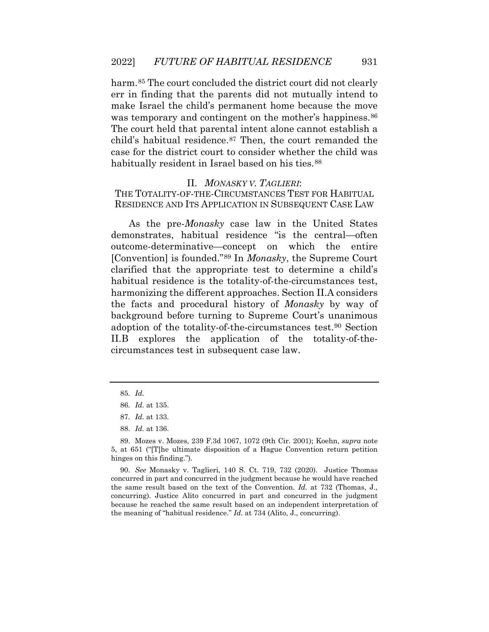harm.<sup>85</sup> The court concluded the district court did not clearly err in finding that the parents did not mutually intend to make Israel the child's permanent home because the move was temporary and contingent on the mother's happiness.<sup>[86](#page-19-4)</sup> The court held that parental intent alone cannot establish a child's habitual residence.<sup>87</sup> Then, the court remanded the case for the district court to consider whether the child was habitually resident in Israel based on his ties.<sup>88</sup>

#### II. *MONASKY V. TAGLIERI*:

THE TOTALITY-OF-THE-CIRCUMSTANCES TEST FOR HABITUAL RESIDENCE AND ITS APPLICATION IN SUBSEQUENT CASE LAW

 adoption of the totality-of-the-circumstances test.[90](#page-20-1) Section As the pre-*Monasky* case law in the United States demonstrates, habitual residence "is the central—often outcome-determinative—concept on which the entire [Convention] is founded."[89](#page-20-0) In *Monasky*, the Supreme Court clarified that the appropriate test to determine a child's habitual residence is the totality-of-the-circumstances test, harmonizing the different approaches. Section II.A considers the facts and procedural history of *Monasky* by way of background before turning to Supreme Court's unanimous II.B explores the application of the totality-of-thecircumstances test in subsequent case law.

<span id="page-19-6"></span><span id="page-19-5"></span><span id="page-19-4"></span><span id="page-19-3"></span><span id="page-19-2"></span> because he reached the same result based on an independent interpretation of 90. *See* Monasky v. Taglieri, 140 S. Ct. 719, 732 (2020). Justice Thomas concurred in part and concurred in the judgment because he would have reached the same result based on the text of the Convention. *Id.* at 732 (Thomas, J., concurring). Justice Alito concurred in part and concurred in the judgment the meaning of "habitual residence." *Id.* at 734 (Alito, J., concurring).

 85. *Id.* 

 86. *Id.* at 135.

 87. *Id.* at 133.

 88. *Id.* at 136.

<span id="page-19-1"></span><span id="page-19-0"></span> 5, at 651 ("[T]he ultimate disposition of a Hague Convention return petition 89. Mozes v. Mozes, 239 F.3d 1067, 1072 (9th Cir. 2001); Koehn, *supra* note hinges on this finding.").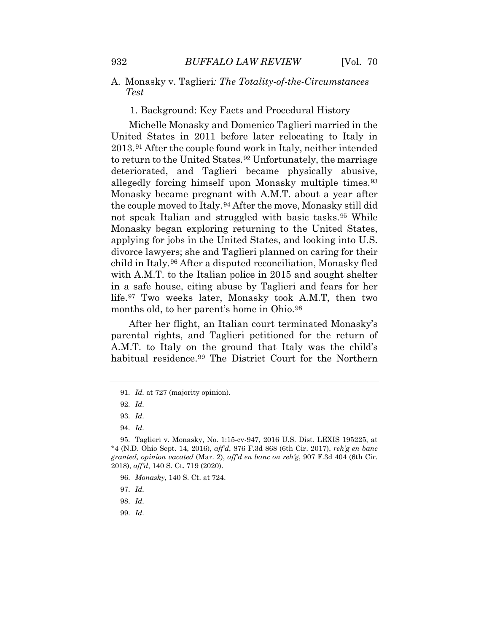#### A. Monasky v. Taglieri*: The Totality-of-the-Circumstances Test*

1. Background: Key Facts and Procedural History

 the couple moved to Italy.[94](#page-20-5) After the move, Monasky still did not speak Italian and struggled with basic tasks.[95](#page-21-0) While divorce lawyers; she and Taglieri planned on caring for their in a safe house, citing abuse by Taglieri and fears for her Michelle Monasky and Domenico Taglieri married in the United States in 2011 before later relocating to Italy in 2013.[91](#page-20-2) After the couple found work in Italy, neither intended to return to the United States.<sup>92</sup> Unfortunately, the marriage deteriorated, and Taglieri became physically abusive, allegedly forcing himself upon Monasky multiple times.<sup>[93](#page-20-4)</sup> Monasky became pregnant with A.M.T. about a year after Monasky began exploring returning to the United States, applying for jobs in the United States, and looking into U.S. child in Italy.[96](#page-21-1) After a disputed reconciliation, Monasky fled with A.M.T. to the Italian police in 2015 and sought shelter life.[97](#page-21-2) Two weeks later, Monasky took A.M.T, then two months old, to her parent's home in Ohio.<sup>[98](#page-21-3)</sup>

After her flight, an Italian court terminated Monasky's parental rights, and Taglieri petitioned for the return of A.M.T. to Italy on the ground that Italy was the child's habitual residence.[99](#page-21-4) The District Court for the Northern

99. *Id.* 

<span id="page-20-0"></span><sup>91.</sup> *Id.* at 727 (majority opinion).

 92. *Id.* 

 93. *Id.* 

 94. *Id.* 

<span id="page-20-3"></span><span id="page-20-2"></span><span id="page-20-1"></span> \*4 (N.D. Ohio Sept. 14, 2016), *aff'd*, 876 F.3d 868 (6th Cir. 2017), *reh'g en banc*  95. Taglieri v. Monasky, No. 1:15-cv-947, 2016 U.S. Dist. LEXIS 195225, at *granted, opinion vacated* (Mar. 2), *aff'd en banc on reh'g*, 907 F.3d 404 (6th Cir. 2018), *aff'd*, 140 S. Ct. 719 (2020).

<sup>96.</sup> *Monasky*, 140 S. Ct. at 724.

<span id="page-20-5"></span><span id="page-20-4"></span> 97. *Id.* 

 98. *Id.*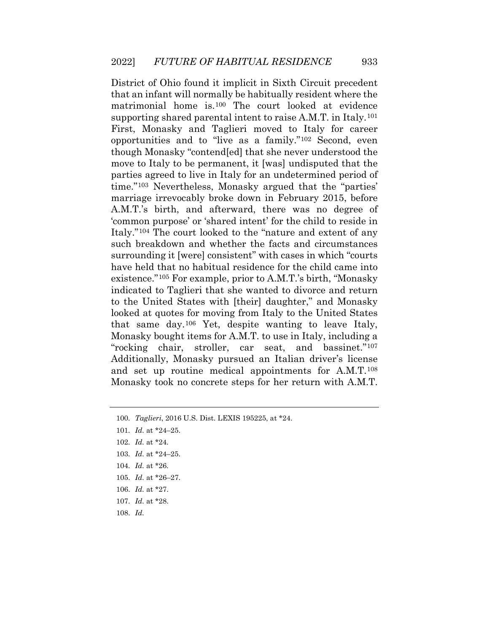looked at quotes for moving from Italy to the United States Monasky took no concrete steps for her return with A.M.T. District of Ohio found it implicit in Sixth Circuit precedent that an infant will normally be habitually resident where the matrimonial home is.[100](#page-21-5) The court looked at evidence supporting shared parental intent to raise A.M.T. in Italy.<sup>[101](#page-21-6)</sup> First, Monasky and Taglieri moved to Italy for career opportunities and to "live as a family."[102](#page-21-7) Second, even though Monasky "contend[ed] that she never understood the move to Italy to be permanent, it [was] undisputed that the parties agreed to live in Italy for an undetermined period of time."[103](#page-21-8) Nevertheless, Monasky argued that the "parties' marriage irrevocably broke down in February 2015, before A.M.T.'s birth, and afterward, there was no degree of 'common purpose' or 'shared intent' for the child to reside in Italy."[104](#page-22-0) The court looked to the "nature and extent of any such breakdown and whether the facts and circumstances surrounding it [were] consistent" with cases in which "courts have held that no habitual residence for the child came into existence."[105](#page-22-1) For example, prior to A.M.T.'s birth, "Monasky indicated to Taglieri that she wanted to divorce and return to the United States with [their] daughter," and Monasky that same day.[106](#page-22-2) Yet, despite wanting to leave Italy, Monasky bought items for A.M.T. to use in Italy, including a "rocking chair, stroller, car seat, and bassinet."[107](#page-22-3) Additionally, Monasky pursued an Italian driver's license and set up routine medical appointments for A.M.T.[108](#page-22-4)

- 104. *Id.* at \*26.
- <span id="page-21-6"></span><span id="page-21-5"></span>105. *Id.* at \*26–27.
- 106. *Id.* at \*27.
- <span id="page-21-7"></span>107. *Id.* at \*28.
- <span id="page-21-8"></span>108. *Id.*

<span id="page-21-1"></span><span id="page-21-0"></span><sup>100.</sup> *Taglieri*, 2016 U.S. Dist. LEXIS 195225, at \*24.

<span id="page-21-2"></span> 101. *Id.* at \*24–25.

<span id="page-21-3"></span> 102. *Id.* at \*24.

<span id="page-21-4"></span> 103. *Id.* at \*24–25.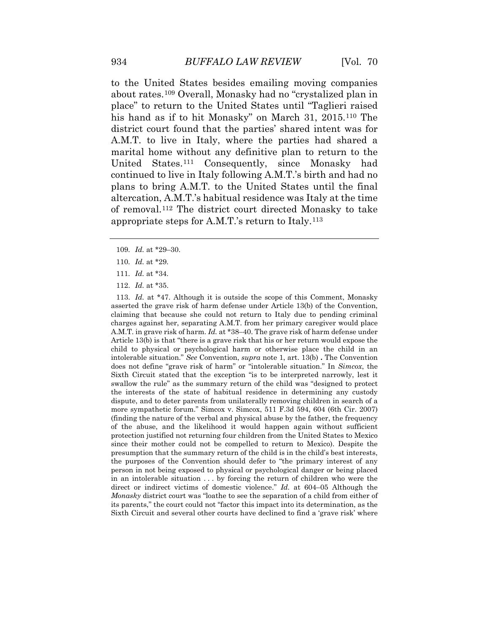plans to bring A.M.T. to the United States until the final of removal.[112](#page-23-0) The district court directed Monasky to take to the United States besides emailing moving companies about rates.[109](#page-22-5) Overall, Monasky had no "crystalized plan in place" to return to the United States until "Taglieri raised his hand as if to hit Monasky" on March 31, 2015.[110](#page-22-6) The district court found that the parties' shared intent was for A.M.T. to live in Italy, where the parties had shared a marital home without any definitive plan to return to the United States.[111](#page-22-7) Consequently, since Monasky had continued to live in Italy following A.M.T.'s birth and had no altercation, A.M.T.'s habitual residence was Italy at the time appropriate steps for A.M.T.'s return to Italy.[113](#page-23-1)

- 109. *Id.* at \*29–30.
- 110. *Id.* at \*29.
- 111. *Id.* at \*34.
- 112. *Id.* at \*35.

<span id="page-22-7"></span><span id="page-22-6"></span><span id="page-22-5"></span><span id="page-22-4"></span><span id="page-22-3"></span><span id="page-22-2"></span><span id="page-22-1"></span><span id="page-22-0"></span> 113. *Id.* at \*47. Although it is outside the scope of this Comment, Monasky A.M.T. in grave risk of harm. *Id.* at \*38–40. The grave risk of harm defense under intolerable situation." *See* Convention, *supra* note 1, art. 13(b) **.** The Convention does not define "grave risk of harm" or "intolerable situation." In *Simcox*, the dispute, and to deter parents from unilaterally removing children in search of a protection justified not returning four children from the United States to Mexico since their mother could not be compelled to return to Mexico). Despite the in an intolerable situation . . . by forcing the return of children who were the *Monasky* district court was "loathe to see the separation of a child from either of its parents," the court could not "factor this impact into its determination, as the Sixth Circuit and several other courts have declined to find a 'grave risk' where asserted the grave risk of harm defense under Article 13(b) of the Convention, claiming that because she could not return to Italy due to pending criminal charges against her, separating A.M.T. from her primary caregiver would place Article 13(b) is that "there is a grave risk that his or her return would expose the child to physical or psychological harm or otherwise place the child in an Sixth Circuit stated that the exception "is to be interpreted narrowly, lest it swallow the rule" as the summary return of the child was "designed to protect the interests of the state of habitual residence in determining any custody more sympathetic forum." Simcox v. Simcox, 511 F.3d 594, 604 (6th Cir. 2007) (finding the nature of the verbal and physical abuse by the father, the frequency of the abuse, and the likelihood it would happen again without sufficient presumption that the summary return of the child is in the child's best interests, the purposes of the Convention should defer to "the primary interest of any person in not being exposed to physical or psychological danger or being placed direct or indirect victims of domestic violence." *Id.* at 604–05 Although the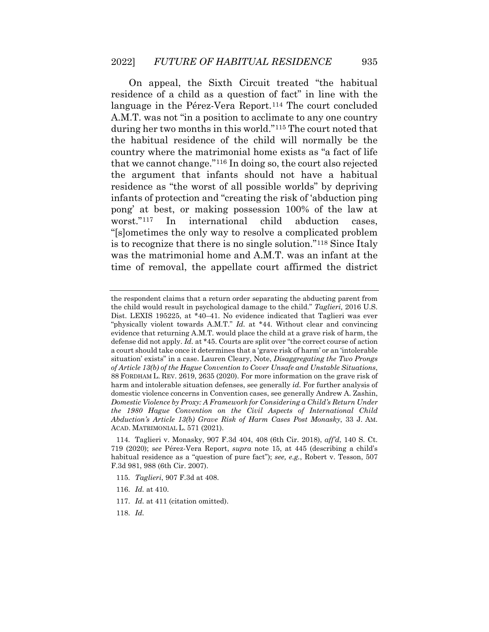<span id="page-23-1"></span><span id="page-23-0"></span> residence of a child as a question of fact" in line with the during her two months in this world."[115](#page-24-1) The court noted that that we cannot change."[116](#page-24-2) In doing so, the court also rejected infants of protection and "creating the risk of 'abduction ping "[s]ometimes the only way to resolve a complicated problem time of removal, the appellate court affirmed the district On appeal, the Sixth Circuit treated "the habitual language in the Pérez-Vera Report.<sup>[114](#page-24-0)</sup> The court concluded A.M.T. was not "in a position to acclimate to any one country the habitual residence of the child will normally be the country where the matrimonial home exists as "a fact of life the argument that infants should not have a habitual residence as "the worst of all possible worlds" by depriving pong' at best, or making possession 100% of the law at worst."[117](#page-24-3) In international child abduction cases, is to recognize that there is no single solution."[118](#page-24-4) Since Italy was the matrimonial home and A.M.T. was an infant at the

- 115. *Taglieri*, 907 F.3d at 408.
- 116. *Id.* at 410.
- 117. *Id.* at 411 (citation omitted).
- 118. *Id.*

 the respondent claims that a return order separating the abducting parent from the child would result in psychological damage to the child." *Taglieri,* 2016 U.S. "physically violent towards A.M.T." *Id.* at \*44. Without clear and convincing a court should take once it determines that a 'grave risk of harm' or an 'intolerable situation' exists" in a case. Lauren Cleary, Note, *Disaggregating the Two Prongs*  domestic violence concerns in Convention cases, see generally Andrew A. Zashin,  *Domestic Violence by Proxy: A Framework for Considering a Child's Return Under the 1980 Hague Convention on the Civil Aspects of International Child Abduction's Article 13(b) Grave Risk of Harm Cases Post Monasky*, 33 J. AM. ACAD. MATRIMONIAL L. 571 (2021). Dist. LEXIS 195225, at \*40–41. No evidence indicated that Taglieri was ever evidence that returning A.M.T. would place the child at a grave risk of harm, the defense did not apply. *Id.* at \*45. Courts are split over "the correct course of action *of Article 13(b) of the Hague Convention to Cover Unsafe and Unstable Situations*, 88 FORDHAM L. REV. 2619, 2635 (2020). For more information on the grave risk of harm and intolerable situation defenses, see generally *id.* For further analysis of

 719 (2020); s*ee* Pérez-Vera Report, *supra* note 15, at 445 (describing a child's 114. Taglieri v. Monasky, 907 F.3d 404, 408 (6th Cir. 2018), *aff'd*, 140 S. Ct. habitual residence as a "question of pure fact"); *see, e.g.*, Robert v. Tesson, 507 F.3d 981, 988 (6th Cir. 2007).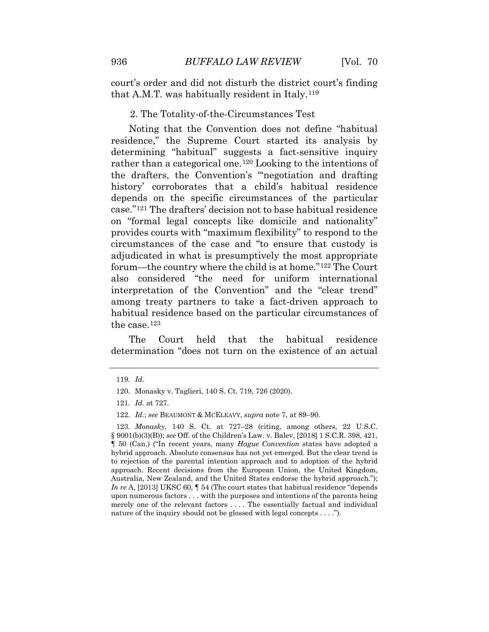court's order and did not disturb the district court's finding that A.M.T. was habitually resident in Italy.[119](#page-24-5)

#### 2. The Totality-of-the-Circumstances Test

 history' corroborates that a child's habitual residence forum—the country where the child is at home."[122](#page-25-1) The Court Noting that the Convention does not define "habitual residence," the Supreme Court started its analysis by determining "habitual" suggests a fact-sensitive inquiry rather than a categorical one.[120](#page-24-6) Looking to the intentions of the drafters, the Convention's "'negotiation and drafting depends on the specific circumstances of the particular case."[121](#page-25-0) The drafters' decision not to base habitual residence on "formal legal concepts like domicile and nationality" provides courts with "maximum flexibility" to respond to the circumstances of the case and "to ensure that custody is adjudicated in what is presumptively the most appropriate also considered "the need for uniform international interpretation of the Convention" and the "clear trend" among treaty partners to take a fact-driven approach to habitual residence based on the particular circumstances of the case.[123](#page-25-2)

The Court held that the habitual residence determination "does not turn on the existence of an actual

 119. *Id.* 

<sup>120.</sup> Monasky v. Taglieri, 140 S. Ct. 719, 726 (2020).

 121. *Id.* at 727.

<sup>122.</sup> *Id.*; *see* BEAUMONT & MCELEAVY, *supra* note 7, at 89–90.

<span id="page-24-6"></span><span id="page-24-5"></span><span id="page-24-4"></span><span id="page-24-3"></span><span id="page-24-2"></span><span id="page-24-1"></span><span id="page-24-0"></span> 123. *Monasky*, 140 S. Ct. at 727–28 (citing, among others, 22 U.S.C. § 9001(b)(3)(B)); *see* Off. of the Children's Law. v. Balev, [2018] 1 S.C.R. 398, 421, ¶ 50 (Can.) ("In recent years, many *Hague Convention* states have adopted a hybrid approach. Absolute consensus has not yet emerged. But the clear trend is to rejection of the parental intention approach and to adoption of the hybrid Australia, New Zealand, and the United States endorse the hybrid approach."); upon numerous factors . . . with the purposes and intentions of the parents being merely one of the relevant factors . . . . The essentially factual and individual nature of the inquiry should not be glossed with legal concepts . . . ."). approach. Recent decisions from the European Union, the United Kingdom, *In re* A, [2013] UKSC 60, ¶ 54 (The court states that habitual residence "depends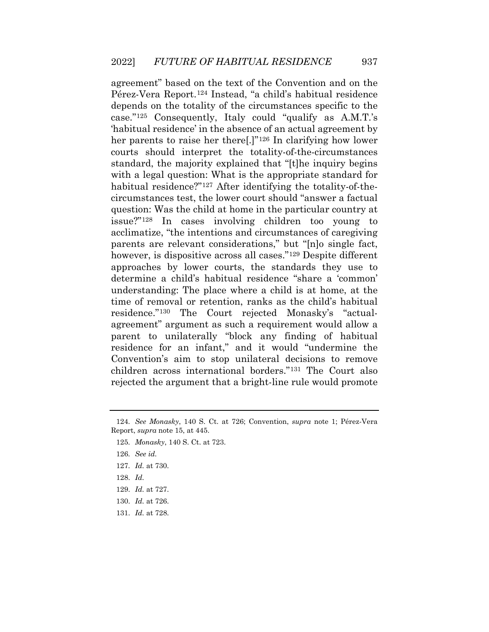depends on the totality of the circumstances specific to the circumstances test, the lower court should "answer a factual agreement" based on the text of the Convention and on the Pérez-Vera Report.[124](#page-25-3) Instead, "a child's habitual residence case."[125](#page-25-4) Consequently, Italy could "qualify as A.M.T.'s 'habitual residence' in the absence of an actual agreement by her parents to raise her there.<sup>[1]"126</sup> In clarifying how lower courts should interpret the totality-of-the-circumstances standard, the majority explained that "[t]he inquiry begins with a legal question: What is the appropriate standard for habitual residence?"<sup>127</sup> After identifying the totality-of-thequestion: Was the child at home in the particular country at issue?"[128](#page-26-1) In cases involving children too young to acclimatize, "the intentions and circumstances of caregiving parents are relevant considerations," but "[n]o single fact, however, is dispositive across all cases."<sup>[129](#page-26-2)</sup> Despite different approaches by lower courts, the standards they use to determine a child's habitual residence "share a 'common' understanding: The place where a child is at home, at the time of removal or retention, ranks as the child's habitual residence."[130](#page-26-3) The Court rejected Monasky's "actualagreement" argument as such a requirement would allow a parent to unilaterally "block any finding of habitual residence for an infant," and it would "undermine the Convention's aim to stop unilateral decisions to remove children across international borders."[131](#page-26-4) The Court also rejected the argument that a bright-line rule would promote

- <span id="page-25-3"></span>128. *Id.*
- 129. *Id.* at 727.
- <span id="page-25-5"></span><span id="page-25-4"></span>130. *Id.* at 726.
- 131. *Id.* at 728.

<span id="page-25-2"></span><span id="page-25-1"></span><span id="page-25-0"></span> 124. *See Monasky*, 140 S. Ct. at 726; Convention, *supra* note 1; Pérez-Vera Report, *supra* note 15, at 445.

<sup>125.</sup> *Monasky*, 140 S. Ct. at 723.

 126. *See id.* 

 127. *Id.* at 730.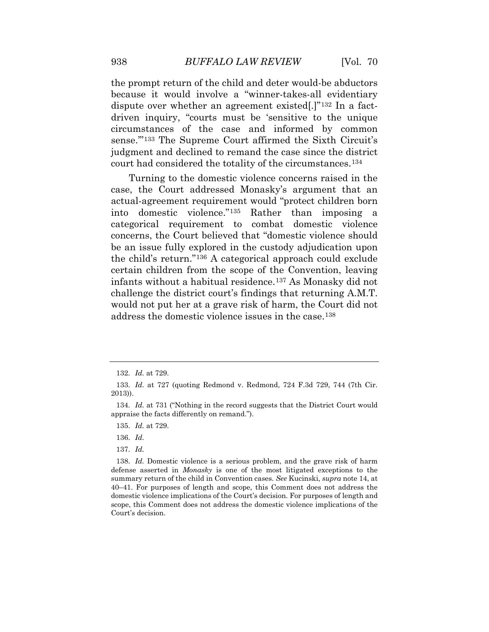the prompt return of the child and deter would-be abductors circumstances of the case and informed by common sense."<sup>133</sup> The Supreme Court affirmed the Sixth Circuit's because it would involve a "winner-takes-all evidentiary dispute over whether an agreement existed[.]"[132](#page-26-5) In a factdriven inquiry, "courts must be 'sensitive to the unique judgment and declined to remand the case since the district court had considered the totality of the circumstances.[134](#page-27-0) 

 Turning to the domestic violence concerns raised in the would not put her at a grave risk of harm, the Court did not case, the Court addressed Monasky's argument that an actual-agreement requirement would "protect children born into domestic violence."[135](#page-27-1) Rather than imposing a categorical requirement to combat domestic violence concerns, the Court believed that "domestic violence should be an issue fully explored in the custody adjudication upon the child's return."[136](#page-27-2) A categorical approach could exclude certain children from the scope of the Convention, leaving infants without a habitual residence.[137](#page-27-3) As Monasky did not challenge the district court's findings that returning A.M.T. address the domestic violence issues in the case.[138](#page-27-4)

136. *Id.* 

137. *Id.* 

 132. *Id.* at 729.

 133. *Id.* at 727 (quoting Redmond v. Redmond, 724 F.3d 729, 744 (7th Cir. 2013)).

<span id="page-26-0"></span> 134. *Id.* at 731 ("Nothing in the record suggests that the District Court would appraise the facts differently on remand.").

 135. *Id.* at 729.

<span id="page-26-6"></span><span id="page-26-5"></span><span id="page-26-4"></span><span id="page-26-3"></span><span id="page-26-2"></span><span id="page-26-1"></span> 138. *Id.* Domestic violence is a serious problem, and the grave risk of harm defense asserted in *Monasky* is one of the most litigated exceptions to the summary return of the child in Convention cases. *See* Kucinski, *supra* note 14, at scope, this Comment does not address the domestic violence implications of the 40–41. For purposes of length and scope, this Comment does not address the domestic violence implications of the Court's decision. For purposes of length and Court's decision.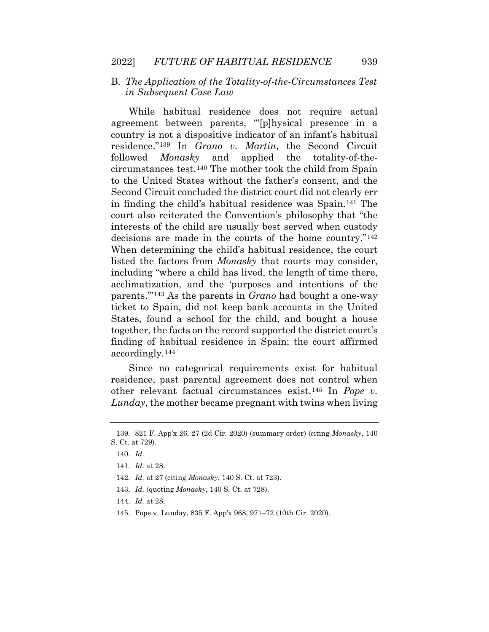#### B. *The Application of the Totality-of-the-Circumstances Test in Subsequent Case Law*

 country is not a dispositive indicator of an infant's habitual circumstances test.[140](#page-28-1) The mother took the child from Spain to the United States without the father's consent, and the decisions are made in the courts of the home country."[142](#page-28-3) States, found a school for the child, and bought a house While habitual residence does not require actual agreement between parents, "'[p]hysical presence in a residence."[139](#page-28-0) In *Grano v. Martin*, the Second Circuit followed *Monasky* and applied the totality-of-the-Second Circuit concluded the district court did not clearly err in finding the child's habitual residence was Spain.[141](#page-28-2) The court also reiterated the Convention's philosophy that "the interests of the child are usually best served when custody When determining the child's habitual residence, the court listed the factors from *Monasky* that courts may consider, including "where a child has lived, the length of time there, acclimatization, and the 'purposes and intentions of the parents.'"[143](#page-28-4) As the parents in *Grano* had bought a one-way ticket to Spain, did not keep bank accounts in the United together, the facts on the record supported the district court's finding of habitual residence in Spain; the court affirmed accordingly.[144](#page-28-5)

<span id="page-27-0"></span>Since no categorical requirements exist for habitual residence, past parental agreement does not control when other relevant factual circumstances exist.[145](#page-28-6) In *Pope v. Lunday*, the mother became pregnant with twins when living

143. *Id.* (quoting *Monasky*, 140 S. Ct. at 728).

145. Pope v. Lunday, 835 F. App'x 968, 971–72 (10th Cir. 2020).

<span id="page-27-4"></span><span id="page-27-3"></span><span id="page-27-2"></span><span id="page-27-1"></span><sup>139. 821</sup> F. App'x 26, 27 (2d Cir. 2020) (summary order) (citing *Monasky*, 140 S. Ct. at 729).

 140. *Id.* 

 141. *Id.* at 28.

 142. *Id.* at 27 (citing *Monasky*, 140 S. Ct. at 723).

 144. *Id.* at 28.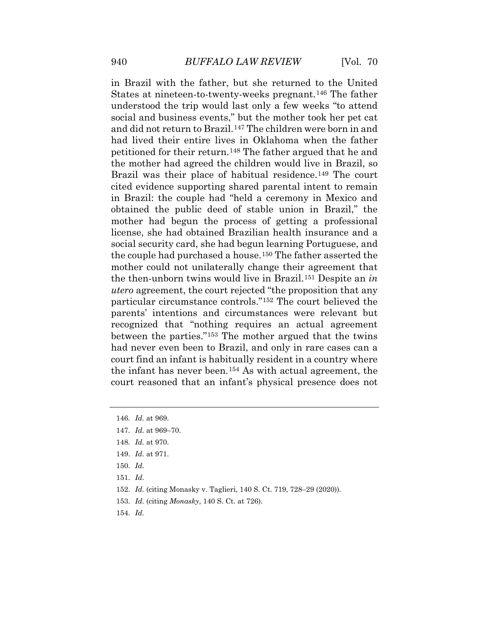understood the trip would last only a few weeks "to attend social and business events," but the mother took her pet cat petitioned for their return.[148](#page-29-2) The father argued that he and cited evidence supporting shared parental intent to remain obtained the public deed of stable union in Brazil," the the infant has never been.[154](#page-30-0) As with actual agreement, the in Brazil with the father, but she returned to the United States at nineteen-to-twenty-weeks pregnant.[146](#page-29-0) The father and did not return to Brazil.[147](#page-29-1) The children were born in and had lived their entire lives in Oklahoma when the father the mother had agreed the children would live in Brazil, so Brazil was their place of habitual residence.<sup>[149](#page-29-3)</sup> The court in Brazil: the couple had "held a ceremony in Mexico and mother had begun the process of getting a professional license, she had obtained Brazilian health insurance and a social security card, she had begun learning Portuguese, and the couple had purchased a house.[150](#page-29-4) The father asserted the mother could not unilaterally change their agreement that the then-unborn twins would live in Brazil.[151](#page-29-5) Despite an *in utero* agreement, the court rejected "the proposition that any particular circumstance controls."[152](#page-29-6) The court believed the parents' intentions and circumstances were relevant but recognized that "nothing requires an actual agreement between the parties."[153](#page-29-7) The mother argued that the twins had never even been to Brazil, and only in rare cases can a court find an infant is habitually resident in a country where court reasoned that an infant's physical presence does not

- <span id="page-28-3"></span>150. *Id.*
- <span id="page-28-4"></span>151. *Id.*
- <span id="page-28-5"></span>152. *Id.* (citing Monasky v. Taglieri, 140 S. Ct. 719, 728–29 (2020)).
- <span id="page-28-6"></span>153. *Id.* (citing *Monasky*, 140 S. Ct. at 726).
- 154. *Id.*

<span id="page-28-0"></span><sup>146.</sup> *Id.* at 969.

 147. *Id.* at 969–70.

 148. *Id.* at 970.

<span id="page-28-2"></span><span id="page-28-1"></span> 149. *Id.* at 971.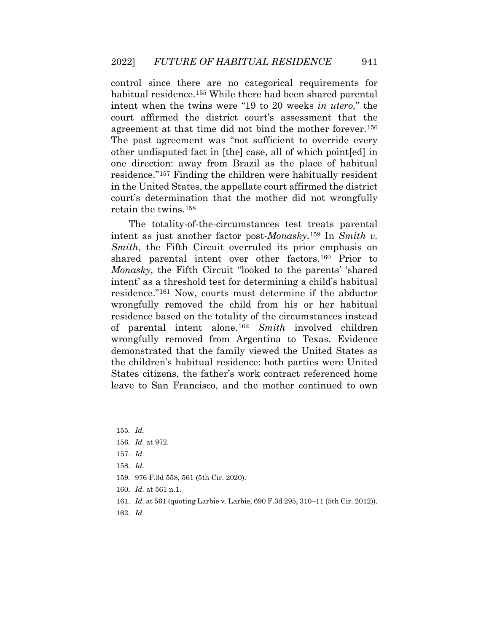one direction: away from Brazil as the place of habitual control since there are no categorical requirements for habitual residence.<sup>155</sup> While there had been shared parental intent when the twins were "19 to 20 weeks *in utero,*" the court affirmed the district court's assessment that the agreement at that time did not bind the mother forever.[156](#page-30-2) The past agreement was "not sufficient to override every other undisputed fact in [the] case, all of which point[ed] in residence."[157](#page-30-3) Finding the children were habitually resident in the United States, the appellate court affirmed the district court's determination that the mother did not wrongfully retain the twins.[158](#page-30-4)

 States citizens, the father's work contract referenced home The totality-of-the-circumstances test treats parental intent as just another factor post-*Monasky*.[159](#page-30-5) In *Smith v. Smith*, the Fifth Circuit overruled its prior emphasis on shared parental intent over other factors.[160](#page-30-6) Prior to *Monasky*, the Fifth Circuit "looked to the parents' 'shared intent' as a threshold test for determining a child's habitual residence."[161](#page-30-7) Now, courts must determine if the abductor wrongfully removed the child from his or her habitual residence based on the totality of the circumstances instead of parental intent alone.[162](#page-30-8) *Smith* involved children wrongfully removed from Argentina to Texas. Evidence demonstrated that the family viewed the United States as the children's habitual residence: both parties were United leave to San Francisco, and the mother continued to own

157. *Id.* 

- <span id="page-29-5"></span>159. 976 F.3d 558, 561 (5th Cir. 2020).
- <span id="page-29-6"></span>160. *Id.* at 561 n.1.
- 161. *Id.* at 561 (quoting Larbie v. Larbie, 690 F.3d 295, 310–11 (5th Cir. 2012)).
- <span id="page-29-7"></span>162. *Id.*

<span id="page-29-0"></span> 155. *Id.* 

<span id="page-29-2"></span><span id="page-29-1"></span><sup>156.</sup> *Id.* at 972.

<span id="page-29-4"></span><span id="page-29-3"></span> 158. *Id.*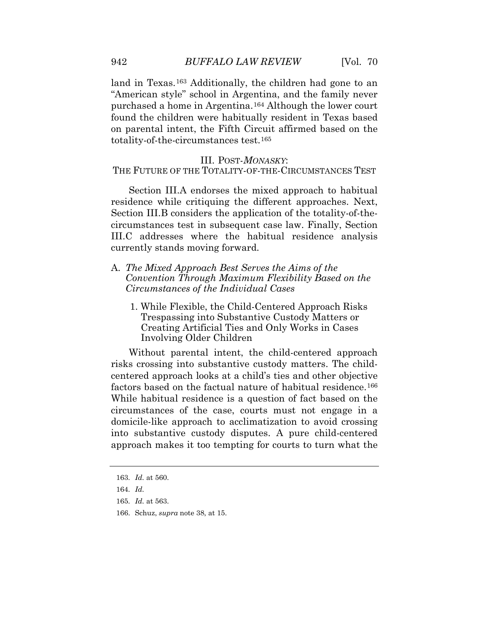land in Texas.<sup>163</sup> Additionally, the children had gone to an "American style" school in Argentina, and the family never purchased a home in Argentina.[164](#page-31-1) Although the lower court found the children were habitually resident in Texas based on parental intent, the Fifth Circuit affirmed based on the totality-of-the-circumstances test.[165](#page-31-2) 

#### III. POST-*MONASKY*:

THE FUTURE OF THE TOTALITY-OF-THE-CIRCUMSTANCES TEST

Section III.A endorses the mixed approach to habitual residence while critiquing the different approaches. Next, Section III.B considers the application of the totality-of-thecircumstances test in subsequent case law. Finally, Section III.C addresses where the habitual residence analysis currently stands moving forward.

- A. *The Mixed Approach Best Serves the Aims of the Convention Through Maximum Flexibility Based on the Circumstances of the Individual Cases* 
	- Involving Older Children 1. While Flexible, the Child-Centered Approach Risks Trespassing into Substantive Custody Matters or Creating Artificial Ties and Only Works in Cases

<span id="page-30-1"></span><span id="page-30-0"></span> approach makes it too tempting for courts to turn what the Without parental intent, the child-centered approach risks crossing into substantive custody matters. The childcentered approach looks at a child's ties and other objective factors based on the factual nature of habitual residence.<sup>[166](#page-31-3)</sup> While habitual residence is a question of fact based on the circumstances of the case, courts must not engage in a domicile-like approach to acclimatization to avoid crossing into substantive custody disputes. A pure child-centered

166. Schuz, *supra* note 38, at 15.

<span id="page-30-5"></span><span id="page-30-4"></span><span id="page-30-3"></span><span id="page-30-2"></span> 163. *Id.* at 560.

<span id="page-30-8"></span><span id="page-30-7"></span><span id="page-30-6"></span> 164. *Id.* 

 165. *Id.* at 563.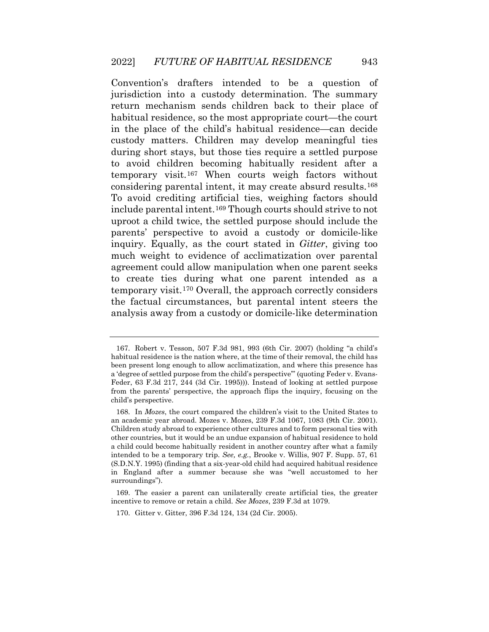temporary visit.[167](#page-32-0) When courts weigh factors without To avoid crediting artificial ties, weighing factors should analysis away from a custody or domicile-like determination Convention's drafters intended to be a question of jurisdiction into a custody determination. The summary return mechanism sends children back to their place of habitual residence, so the most appropriate court—the court in the place of the child's habitual residence—can decide custody matters. Children may develop meaningful ties during short stays, but those ties require a settled purpose to avoid children becoming habitually resident after a considering parental intent, it may create absurd results.[168](#page-32-1) include parental intent.[169](#page-32-2) Though courts should strive to not uproot a child twice, the settled purpose should include the parents' perspective to avoid a custody or domicile-like inquiry. Equally, as the court stated in *Gitter*, giving too much weight to evidence of acclimatization over parental agreement could allow manipulation when one parent seeks to create ties during what one parent intended as a temporary visit.[170](#page-33-0) Overall, the approach correctly considers the factual circumstances, but parental intent steers the

 habitual residence is the nation where, at the time of their removal, the child has been present long enough to allow acclimatization, and where this presence has 167. Robert v. Tesson, 507 F.3d 981, 993 (6th Cir. 2007) (holding "a child's a 'degree of settled purpose from the child's perspective'" (quoting Feder v. Evans-Feder, 63 F.3d 217, 244 (3d Cir. 1995))). Instead of looking at settled purpose from the parents' perspective, the approach flips the inquiry, focusing on the child's perspective.

 an academic year abroad. Mozes v. Mozes, 239 F.3d 1067, 1083 (9th Cir. 2001). other countries, but it would be an undue expansion of habitual residence to hold a child could become habitually resident in another country after what a family intended to be a temporary trip. *See, e.g.*, Brooke v. Willis, 907 F. Supp. 57, 61 168. In *Mozes*, the court compared the children's visit to the United States to Children study abroad to experience other cultures and to form personal ties with (S.D.N.Y. 1995) (finding that a six-year-old child had acquired habitual residence in England after a summer because she was "well accustomed to her surroundings").

<span id="page-31-3"></span><span id="page-31-2"></span><span id="page-31-1"></span><span id="page-31-0"></span><sup>169.</sup> The easier a parent can unilaterally create artificial ties, the greater incentive to remove or retain a child. *See Mozes*, 239 F.3d at 1079.

<sup>170.</sup> Gitter v. Gitter, 396 F.3d 124, 134 (2d Cir. 2005).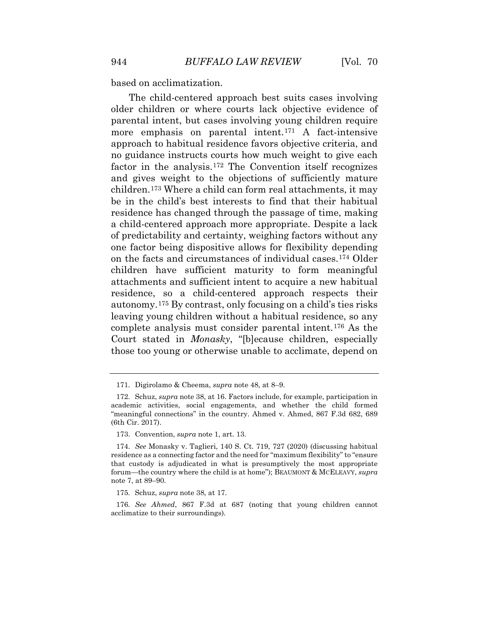based on acclimatization.

 factor in the analysis.[172](#page-33-2) The Convention itself recognizes children.[173](#page-33-3) Where a child can form real attachments, it may on the facts and circumstances of individual cases.[174](#page-33-4) Older autonomy.[175](#page-33-5) By contrast, only focusing on a child's ties risks The child-centered approach best suits cases involving older children or where courts lack objective evidence of parental intent, but cases involving young children require more emphasis on parental intent.[171](#page-33-1) A fact-intensive approach to habitual residence favors objective criteria, and no guidance instructs courts how much weight to give each and gives weight to the objections of sufficiently mature be in the child's best interests to find that their habitual residence has changed through the passage of time, making a child-centered approach more appropriate. Despite a lack of predictability and certainty, weighing factors without any one factor being dispositive allows for flexibility depending children have sufficient maturity to form meaningful attachments and sufficient intent to acquire a new habitual residence, so a child-centered approach respects their leaving young children without a habitual residence, so any complete analysis must consider parental intent.[176](#page-34-0) As the Court stated in *Monasky*, "[b]ecause children, especially those too young or otherwise unable to acclimate, depend on

<sup>171.</sup> Digirolamo & Cheema, *supra* note 48, at 8–9.

<span id="page-32-1"></span><span id="page-32-0"></span> academic activities, social engagements, and whether the child formed 172. Schuz, *supra* note 38, at 16. Factors include, for example, participation in "meaningful connections" in the country. Ahmed v. Ahmed, 867 F.3d 682, 689 (6th Cir. 2017).

<sup>173.</sup> Convention, *supra* note 1, art. 13.

 174. *See* Monasky v. Taglieri, 140 S. Ct. 719, 727 (2020) (discussing habitual residence as a connecting factor and the need for "maximum flexibility" to "ensure that custody is adjudicated in what is presumptively the most appropriate forum—the country where the child is at home"); BEAUMONT & MCELEAVY, *supra*  note 7, at 89–90.

<sup>175.</sup> Schuz, *supra* note 38, at 17.

<span id="page-32-2"></span> 176. *See Ahmed*, 867 F.3d at 687 (noting that young children cannot acclimatize to their surroundings).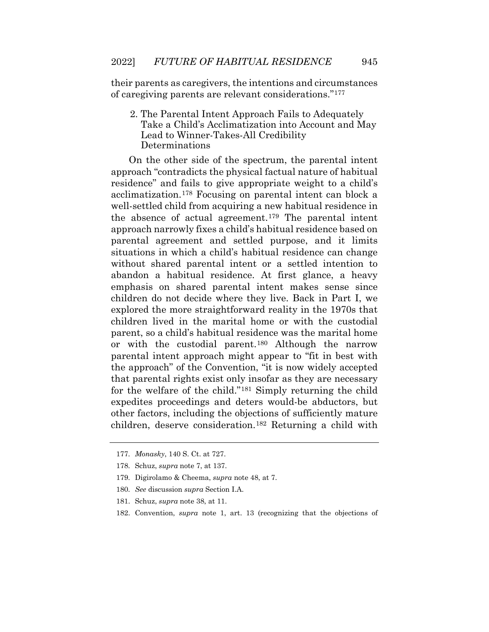their parents as caregivers, the intentions and circumstances of caregiving parents are relevant considerations."[177](#page-34-1) 

2. The Parental Intent Approach Fails to Adequately Take a Child's Acclimatization into Account and May Lead to Winner-Takes-All Credibility Determinations

 acclimatization.[178](#page-34-2) Focusing on parental intent can block a the absence of actual agreement.[179](#page-34-3) The parental intent situations in which a child's habitual residence can change On the other side of the spectrum, the parental intent approach "contradicts the physical factual nature of habitual residence" and fails to give appropriate weight to a child's well-settled child from acquiring a new habitual residence in approach narrowly fixes a child's habitual residence based on parental agreement and settled purpose, and it limits without shared parental intent or a settled intention to abandon a habitual residence. At first glance, a heavy emphasis on shared parental intent makes sense since children do not decide where they live. Back in Part I, we explored the more straightforward reality in the 1970s that children lived in the marital home or with the custodial parent, so a child's habitual residence was the marital home or with the custodial parent.[180](#page-34-4) Although the narrow parental intent approach might appear to "fit in best with the approach" of the Convention, "it is now widely accepted that parental rights exist only insofar as they are necessary for the welfare of the child."[181](#page-35-0) Simply returning the child expedites proceedings and deters would-be abductors, but other factors, including the objections of sufficiently mature children, deserve consideration.[182](#page-35-1) Returning a child with

<span id="page-33-4"></span><span id="page-33-3"></span><span id="page-33-2"></span><span id="page-33-1"></span><span id="page-33-0"></span><sup>177.</sup> *Monasky*, 140 S. Ct. at 727.

<sup>178.</sup> Schuz, *supra* note 7, at 137.

<sup>179.</sup> Digirolamo & Cheema, *supra* note 48, at 7.

 180. *See* discussion *supra* Section I.A.

<span id="page-33-5"></span><sup>181.</sup> Schuz, *supra* note 38, at 11.

<sup>182.</sup> Convention, *supra* note 1, art. 13 (recognizing that the objections of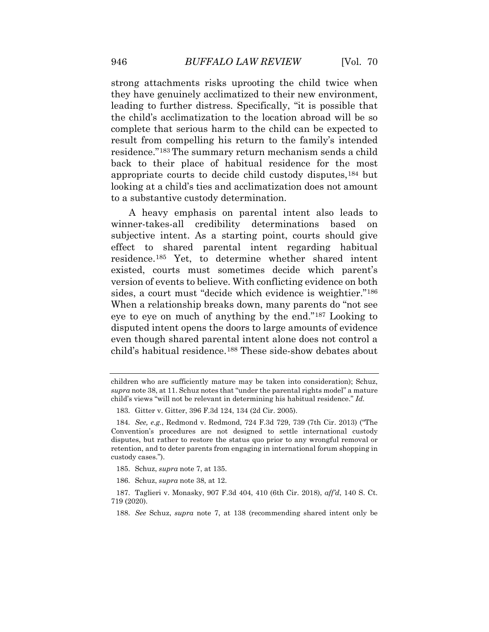back to their place of habitual residence for the most looking at a child's ties and acclimatization does not amount strong attachments risks uprooting the child twice when they have genuinely acclimatized to their new environment, leading to further distress. Specifically, "it is possible that the child's acclimatization to the location abroad will be so complete that serious harm to the child can be expected to result from compelling his return to the family's intended residence."[183](#page-35-2) The summary return mechanism sends a child appropriate courts to decide child custody disputes,[184](#page-35-3) but to a substantive custody determination.

 A heavy emphasis on parental intent also leads to winner-takes-all credibility determinations based on existed, courts must sometimes decide which parent's disputed intent opens the doors to large amounts of evidence subjective intent. As a starting point, courts should give effect to shared parental intent regarding habitual residence.[185](#page-35-4) Yet, to determine whether shared intent version of events to believe. With conflicting evidence on both sides, a court must "decide which evidence is weightier."[186](#page-35-5) When a relationship breaks down, many parents do "not see eye to eye on much of anything by the end.["187](#page-36-0) Looking to even though shared parental intent alone does not control a child's habitual residence.[188](#page-36-1) These side-show debates about

children who are sufficiently mature may be taken into consideration); Schuz, *supra* note 38, at 11. Schuz notes that "under the parental rights model" a mature child's views "will not be relevant in determining his habitual residence." *Id.* 

<sup>183.</sup> Gitter v. Gitter, 396 F.3d 124, 134 (2d Cir. 2005).

<span id="page-34-0"></span> 184. *See, e.g.*, Redmond v. Redmond, 724 F.3d 729, 739 (7th Cir. 2013) ("The disputes, but rather to restore the status quo prior to any wrongful removal or Convention's procedures are not designed to settle international custody retention, and to deter parents from engaging in international forum shopping in custody cases.").

<sup>185.</sup> Schuz, *supra* note 7, at 135.

<sup>186.</sup> Schuz, *supra* note 38, at 12.

<span id="page-34-4"></span><span id="page-34-3"></span><span id="page-34-2"></span><span id="page-34-1"></span><sup>187.</sup> Taglieri v. Monasky, 907 F.3d 404, 410 (6th Cir. 2018), *aff'd*, 140 S. Ct. 719 (2020).

 188. *See* Schuz, *supra* note 7, at 138 (recommending shared intent only be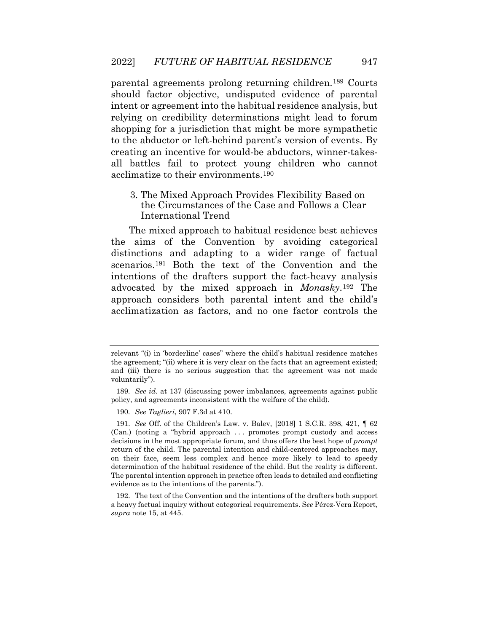should factor objective, undisputed evidence of parental parental agreements prolong returning children.[189](#page-36-2) Courts intent or agreement into the habitual residence analysis, but relying on credibility determinations might lead to forum shopping for a jurisdiction that might be more sympathetic to the abductor or left-behind parent's version of events. By creating an incentive for would-be abductors, winner-takesall battles fail to protect young children who cannot acclimatize to their environments[.190](#page-36-3) 

3. The Mixed Approach Provides Flexibility Based on the Circumstances of the Case and Follows a Clear International Trend

 approach considers both parental intent and the child's The mixed approach to habitual residence best achieves the aims of the Convention by avoiding categorical distinctions and adapting to a wider range of factual scenarios.<sup>191</sup> Both the text of the Convention and the intentions of the drafters support the fact-heavy analysis advocated by the mixed approach in *Monasky*.[192](#page-37-0) The acclimatization as factors, and no one factor controls the

relevant "(i) in 'borderline' cases" where the child's habitual residence matches the agreement; "(ii) where it is very clear on the facts that an agreement existed; and (iii) there is no serious suggestion that the agreement was not made voluntarily").

<span id="page-35-1"></span><span id="page-35-0"></span> 189. *See id.* at 137 (discussing power imbalances, agreements against public policy, and agreements inconsistent with the welfare of the child).

 190. *See Taglieri*, 907 F.3d at 410.

<span id="page-35-3"></span><span id="page-35-2"></span> 191. *See* Off. of the Children's Law. v. Balev, [2018] 1 S.C.R. 398, 421, ¶ 62 (Can.) (noting a "hybrid approach . . . promotes prompt custody and access return of the child. The parental intention and child-centered approaches may, determination of the habitual residence of the child. But the reality is different. decisions in the most appropriate forum, and thus offers the best hope of *prompt*  on their face, seem less complex and hence more likely to lead to speedy The parental intention approach in practice often leads to detailed and conflicting evidence as to the intentions of the parents.").

<span id="page-35-5"></span><span id="page-35-4"></span> a heavy factual inquiry without categorical requirements. S*ee* Pérez-Vera Report, 192. The text of the Convention and the intentions of the drafters both support *supra* note 15, at 445.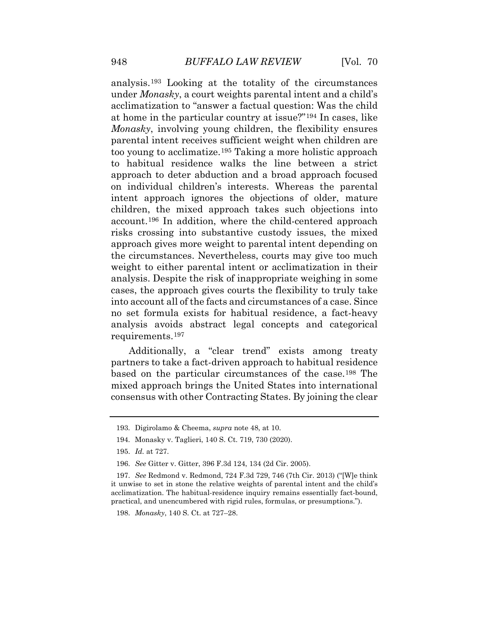under *Monasky*, a court weights parental intent and a child's on individual children's interests. Whereas the parental children, the mixed approach takes such objections into the circumstances. Nevertheless, courts may give too much into account all of the facts and circumstances of a case. Since analysis avoids abstract legal concepts and categorical analysis.[193](#page-37-1) Looking at the totality of the circumstances acclimatization to "answer a factual question: Was the child at home in the particular country at issue?"[194](#page-37-2) In cases, like *Monasky*, involving young children, the flexibility ensures parental intent receives sufficient weight when children are too young to acclimatize.[195](#page-37-3) Taking a more holistic approach to habitual residence walks the line between a strict approach to deter abduction and a broad approach focused intent approach ignores the objections of older, mature account.[196](#page-37-4) In addition, where the child-centered approach risks crossing into substantive custody issues, the mixed approach gives more weight to parental intent depending on weight to either parental intent or acclimatization in their analysis. Despite the risk of inappropriate weighing in some cases, the approach gives courts the flexibility to truly take no set formula exists for habitual residence, a fact-heavy requirements.[197](#page-37-5) 

<span id="page-36-1"></span><span id="page-36-0"></span> consensus with other Contracting States. By joining the clear Additionally, a "clear trend" exists among treaty partners to take a fact-driven approach to habitual residence based on the particular circumstances of the case.[198](#page-38-0) The mixed approach brings the United States into international

<span id="page-36-2"></span><sup>193.</sup> Digirolamo & Cheema, *supra* note 48, at 10.

<span id="page-36-3"></span><sup>194.</sup> Monasky v. Taglieri, 140 S. Ct. 719, 730 (2020).

 195. *Id.* at 727.

 196. *See* Gitter v. Gitter, 396 F.3d 124, 134 (2d Cir. 2005).

<span id="page-36-4"></span><sup>197.</sup> *See* Redmond v. Redmond, 724 F.3d 729, 746 (7th Cir. 2013) ("[W]e think it unwise to set in stone the relative weights of parental intent and the child's acclimatization. The habitual-residence inquiry remains essentially fact-bound, practical, and unencumbered with rigid rules, formulas, or presumptions.").

<sup>198.</sup> *Monasky*, 140 S. Ct. at 727–28.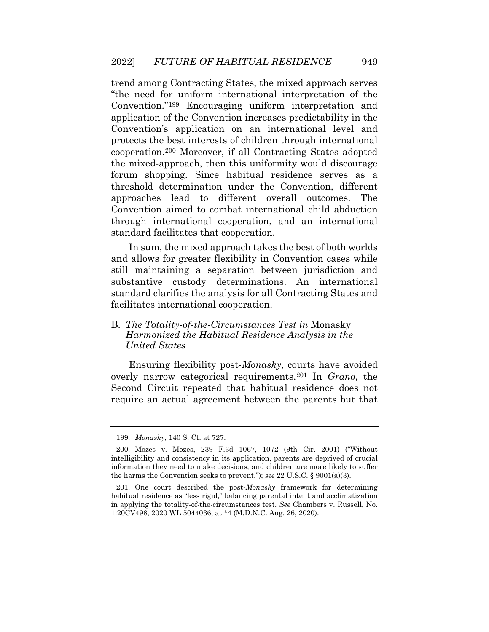the mixed-approach, then this uniformity would discourage trend among Contracting States, the mixed approach serves "the need for uniform international interpretation of the Convention."[199](#page-38-1) Encouraging uniform interpretation and application of the Convention increases predictability in the Convention's application on an international level and protects the best interests of children through international cooperation.[200](#page-38-2) Moreover, if all Contracting States adopted forum shopping. Since habitual residence serves as a threshold determination under the Convention, different approaches lead to different overall outcomes. The Convention aimed to combat international child abduction through international cooperation, and an international standard facilitates that cooperation.

 and allows for greater flexibility in Convention cases while In sum, the mixed approach takes the best of both worlds still maintaining a separation between jurisdiction and substantive custody determinations. An international standard clarifies the analysis for all Contracting States and facilitates international cooperation.

#### B. *The Totality-of-the-Circumstances Test in* Monasky *Harmonized the Habitual Residence Analysis in the United States*

Ensuring flexibility post-*Monasky*, courts have avoided overly narrow categorical requirements.[201](#page-39-0) In *Grano*, the Second Circuit repeated that habitual residence does not require an actual agreement between the parents but that

<sup>199.</sup> *Monasky*, 140 S. Ct. at 727.

<span id="page-37-2"></span><span id="page-37-1"></span><span id="page-37-0"></span> intelligibility and consistency in its application, parents are deprived of crucial information they need to make decisions, and children are more likely to suffer 200. Mozes v. Mozes, 239 F.3d 1067, 1072 (9th Cir. 2001) ("Without the harms the Convention seeks to prevent."); *see* 22 U.S.C. § 9001(a)(3).

<span id="page-37-5"></span><span id="page-37-4"></span><span id="page-37-3"></span> habitual residence as "less rigid," balancing parental intent and acclimatization in applying the totality-of-the-circumstances test. *See* Chambers v. Russell, No. 201. One court described the post-*Monasky* framework for determining 1:20CV498, 2020 WL 5044036, at \*4 (M.D.N.C. Aug. 26, 2020).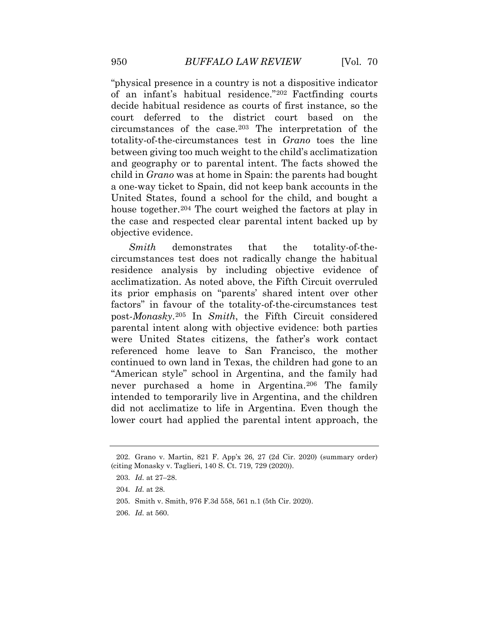United States, found a school for the child, and bought a "physical presence in a country is not a dispositive indicator of an infant's habitual residence."[202](#page-39-1) Factfinding courts decide habitual residence as courts of first instance, so the court deferred to the district court based on the circumstances of the case.[203](#page-39-2) The interpretation of the totality-of-the-circumstances test in *Grano* toes the line between giving too much weight to the child's acclimatization and geography or to parental intent. The facts showed the child in *Grano* was at home in Spain: the parents had bought a one-way ticket to Spain, did not keep bank accounts in the house together.<sup>[204](#page-39-3)</sup> The court weighed the factors at play in the case and respected clear parental intent backed up by objective evidence.

 circumstances test does not radically change the habitual *Smith* demonstrates that the totality-of-theresidence analysis by including objective evidence of acclimatization. As noted above, the Fifth Circuit overruled its prior emphasis on "parents' shared intent over other factors" in favour of the totality-of-the-circumstances test post-*Monasky*.[205](#page-39-4) In *Smith*, the Fifth Circuit considered parental intent along with objective evidence: both parties were United States citizens, the father's work contact referenced home leave to San Francisco, the mother continued to own land in Texas, the children had gone to an "American style" school in Argentina, and the family had never purchased a home in Argentina.<sup>206</sup> The family intended to temporarily live in Argentina, and the children did not acclimatize to life in Argentina. Even though the lower court had applied the parental intent approach, the

<span id="page-38-2"></span><span id="page-38-1"></span><span id="page-38-0"></span><sup>202.</sup> Grano v. Martin, 821 F. App'x 26, 27 (2d Cir. 2020) (summary order) (citing Monasky v. Taglieri, 140 S. Ct. 719, 729 (2020)).

<sup>203.</sup> *Id.* at 27–28.

 204. *Id.* at 28.

<sup>205.</sup> Smith v. Smith, 976 F.3d 558, 561 n.1 (5th Cir. 2020).

 206. *Id.* at 560.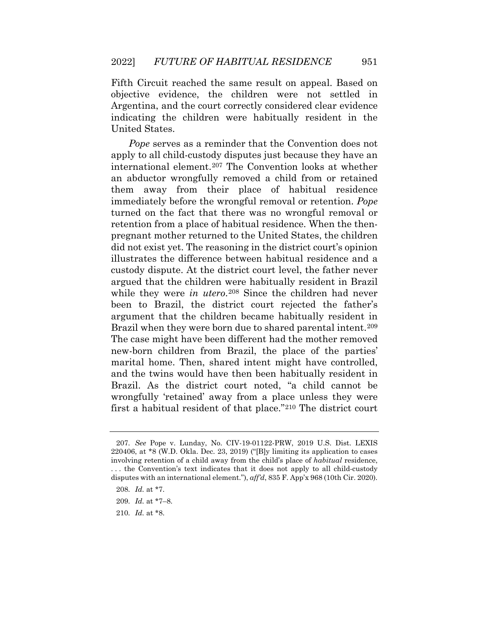Fifth Circuit reached the same result on appeal. Based on objective evidence, the children were not settled in Argentina, and the court correctly considered clear evidence indicating the children were habitually resident in the United States.

 apply to all child-custody disputes just because they have an international element.[207](#page-40-1) The Convention looks at whether immediately before the wrongful removal or retention. *Pope*  argued that the children were habitually resident in Brazil *Pope* serves as a reminder that the Convention does not an abductor wrongfully removed a child from or retained them away from their place of habitual residence turned on the fact that there was no wrongful removal or retention from a place of habitual residence. When the thenpregnant mother returned to the United States, the children did not exist yet. The reasoning in the district court's opinion illustrates the difference between habitual residence and a custody dispute. At the district court level, the father never while they were *in utero*.<sup>[208](#page-40-2)</sup> Since the children had never been to Brazil, the district court rejected the father's argument that the children became habitually resident in Brazil when they were born due to shared parental intent.<sup>[209](#page-41-0)</sup> The case might have been different had the mother removed new-born children from Brazil, the place of the parties' marital home. Then, shared intent might have controlled, and the twins would have then been habitually resident in Brazil. As the district court noted, "a child cannot be wrongfully 'retained' away from a place unless they were first a habitual resident of that place."[210](#page-41-1) The district court

<span id="page-39-2"></span><span id="page-39-1"></span><span id="page-39-0"></span> 207. *See* Pope v. Lunday, No. CIV-19-01122-PRW, 2019 U.S. Dist. LEXIS involving retention of a child away from the child's place of *habitual* residence, . . . the Convention's text indicates that it does not apply to all child-custody 220406, at \*8 (W.D. Okla. Dec. 23, 2019) ("[B]y limiting its application to cases disputes with an international element."), *aff'd*, 835 F. App'x 968 (10th Cir. 2020).

 208. *Id.* at \*7.

<span id="page-39-4"></span><span id="page-39-3"></span><sup>209.</sup> *Id.* at \*7–8.

 210. *Id.* at \*8.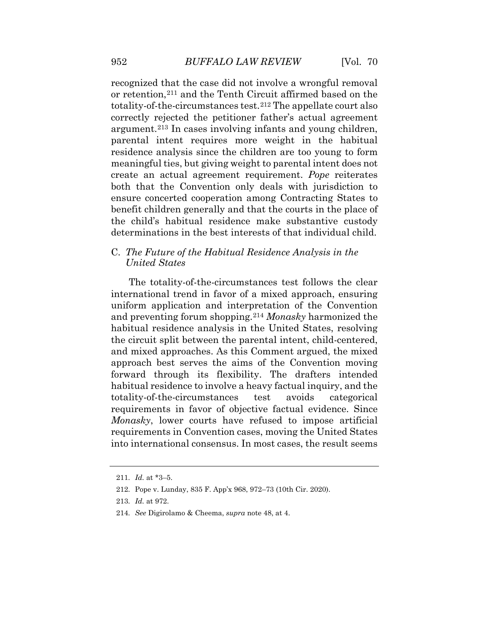totality-of-the-circumstances test.[212](#page-41-3) The appellate court also parental intent requires more weight in the habitual residence analysis since the children are too young to form create an actual agreement requirement. *Pope* reiterates recognized that the case did not involve a wrongful removal or retention,[211](#page-41-2) and the Tenth Circuit affirmed based on the correctly rejected the petitioner father's actual agreement argument.[213](#page-41-4) In cases involving infants and young children, meaningful ties, but giving weight to parental intent does not both that the Convention only deals with jurisdiction to ensure concerted cooperation among Contracting States to benefit children generally and that the courts in the place of the child's habitual residence make substantive custody determinations in the best interests of that individual child.

#### C. *The Future of the Habitual Residence Analysis in the United States*

 and preventing forum shopping.[214](#page-41-5) *Monasky* harmonized the The totality-of-the-circumstances test follows the clear international trend in favor of a mixed approach, ensuring uniform application and interpretation of the Convention habitual residence analysis in the United States, resolving the circuit split between the parental intent, child-centered, and mixed approaches. As this Comment argued, the mixed approach best serves the aims of the Convention moving forward through its flexibility. The drafters intended habitual residence to involve a heavy factual inquiry, and the totality-of-the-circumstances test avoids categorical requirements in favor of objective factual evidence. Since *Monasky*, lower courts have refused to impose artificial requirements in Convention cases, moving the United States into international consensus. In most cases, the result seems

214. *See* Digirolamo & Cheema, *supra* note 48, at 4.

<span id="page-40-1"></span><span id="page-40-0"></span> 211. *Id.* at \*3–5.

<sup>212.</sup> Pope v. Lunday, 835 F. App'x 968, 972–73 (10th Cir. 2020).

<span id="page-40-2"></span> 213. *Id.* at 972.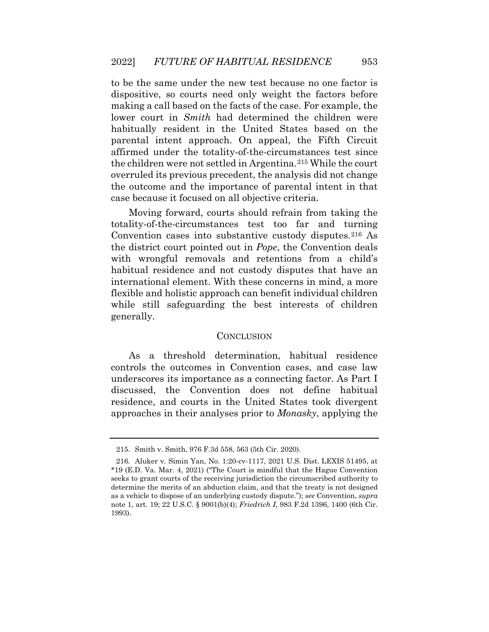the children were not settled in Argentina.<sup>215</sup> While the court to be the same under the new test because no one factor is dispositive, so courts need only weight the factors before making a call based on the facts of the case. For example, the lower court in *Smith* had determined the children were habitually resident in the United States based on the parental intent approach. On appeal, the Fifth Circuit affirmed under the totality-of-the-circumstances test since overruled its previous precedent, the analysis did not change the outcome and the importance of parental intent in that case because it focused on all objective criteria.

Moving forward, courts should refrain from taking the totality-of-the-circumstances test too far and turning Convention cases into substantive custody disputes.[216](#page-42-1) As the district court pointed out in *Pope*, the Convention deals with wrongful removals and retentions from a child's habitual residence and not custody disputes that have an international element. With these concerns in mind, a more flexible and holistic approach can benefit individual children while still safeguarding the best interests of children generally.

#### **CONCLUSION**

 controls the outcomes in Convention cases, and case law underscores its importance as a connecting factor. As Part I discussed, the Convention does not define habitual As a threshold determination, habitual residence residence, and courts in the United States took divergent approaches in their analyses prior to *Monasky*, applying the

<sup>215.</sup> Smith v. Smith, 976 F.3d 558, 563 (5th Cir. 2020).

<span id="page-41-5"></span><span id="page-41-4"></span><span id="page-41-3"></span><span id="page-41-2"></span><span id="page-41-1"></span><span id="page-41-0"></span> \*19 (E.D. Va. Mar. 4, 2021) ("The Court is mindful that the Hague Convention as a vehicle to dispose of an underlying custody dispute."); *see* Convention, *supra*  216. Aluker v. Simin Yan, No. 1:20-cv-1117, 2021 U.S. Dist. LEXIS 51495, at seeks to grant courts of the receiving jurisdiction the circumscribed authority to determine the merits of an abduction claim, and that the treaty is not designed note 1, art. 19; 22 U.S.C. § 9001(b)(4); *Friedrich I*, 983 F.2d 1396, 1400 (6th Cir. 1993).